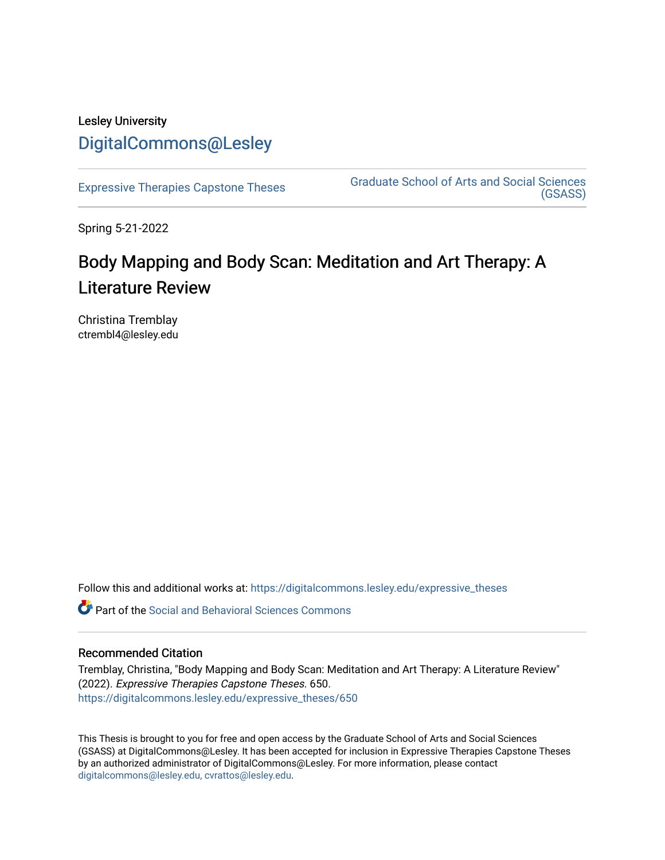# Lesley University [DigitalCommons@Lesley](https://digitalcommons.lesley.edu/)

[Expressive Therapies Capstone Theses](https://digitalcommons.lesley.edu/expressive_theses) Graduate School of Arts and Social Sciences [\(GSASS\)](https://digitalcommons.lesley.edu/gsass) 

Spring 5-21-2022

# Body Mapping and Body Scan: Meditation and Art Therapy: A Literature Review

Christina Tremblay ctrembl4@lesley.edu

Follow this and additional works at: [https://digitalcommons.lesley.edu/expressive\\_theses](https://digitalcommons.lesley.edu/expressive_theses?utm_source=digitalcommons.lesley.edu%2Fexpressive_theses%2F650&utm_medium=PDF&utm_campaign=PDFCoverPages)

Part of the [Social and Behavioral Sciences Commons](https://network.bepress.com/hgg/discipline/316?utm_source=digitalcommons.lesley.edu%2Fexpressive_theses%2F650&utm_medium=PDF&utm_campaign=PDFCoverPages) 

# Recommended Citation

Tremblay, Christina, "Body Mapping and Body Scan: Meditation and Art Therapy: A Literature Review" (2022). Expressive Therapies Capstone Theses. 650. [https://digitalcommons.lesley.edu/expressive\\_theses/650](https://digitalcommons.lesley.edu/expressive_theses/650?utm_source=digitalcommons.lesley.edu%2Fexpressive_theses%2F650&utm_medium=PDF&utm_campaign=PDFCoverPages)

This Thesis is brought to you for free and open access by the Graduate School of Arts and Social Sciences (GSASS) at DigitalCommons@Lesley. It has been accepted for inclusion in Expressive Therapies Capstone Theses by an authorized administrator of DigitalCommons@Lesley. For more information, please contact [digitalcommons@lesley.edu, cvrattos@lesley.edu](mailto:digitalcommons@lesley.edu,%20cvrattos@lesley.edu).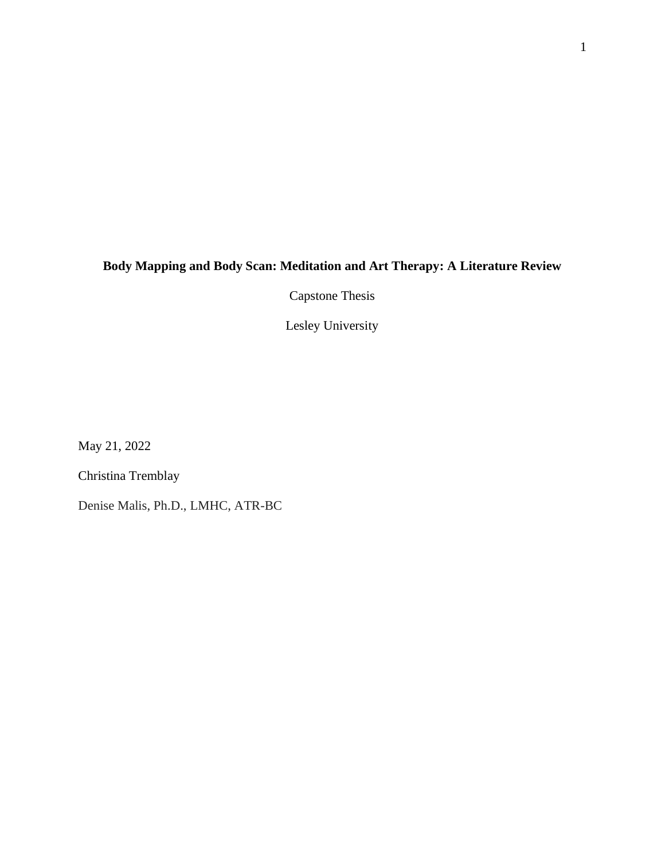# **Body Mapping and Body Scan: Meditation and Art Therapy: A Literature Review**

Capstone Thesis

Lesley University

May 21, 2022

Christina Tremblay

Denise Malis, Ph.D., LMHC, ATR-BC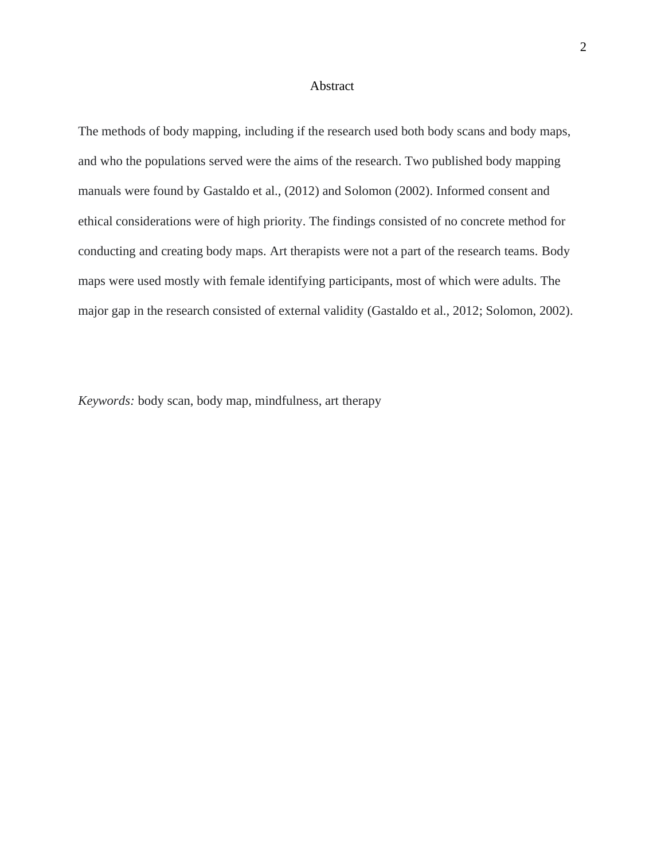### Abstract

The methods of body mapping, including if the research used both body scans and body maps, and who the populations served were the aims of the research. Two published body mapping manuals were found by Gastaldo et al., (2012) and Solomon (2002). Informed consent and ethical considerations were of high priority. The findings consisted of no concrete method for conducting and creating body maps. Art therapists were not a part of the research teams. Body maps were used mostly with female identifying participants, most of which were adults. The major gap in the research consisted of external validity (Gastaldo et al., 2012; Solomon, 2002).

*Keywords:* body scan, body map, mindfulness, art therapy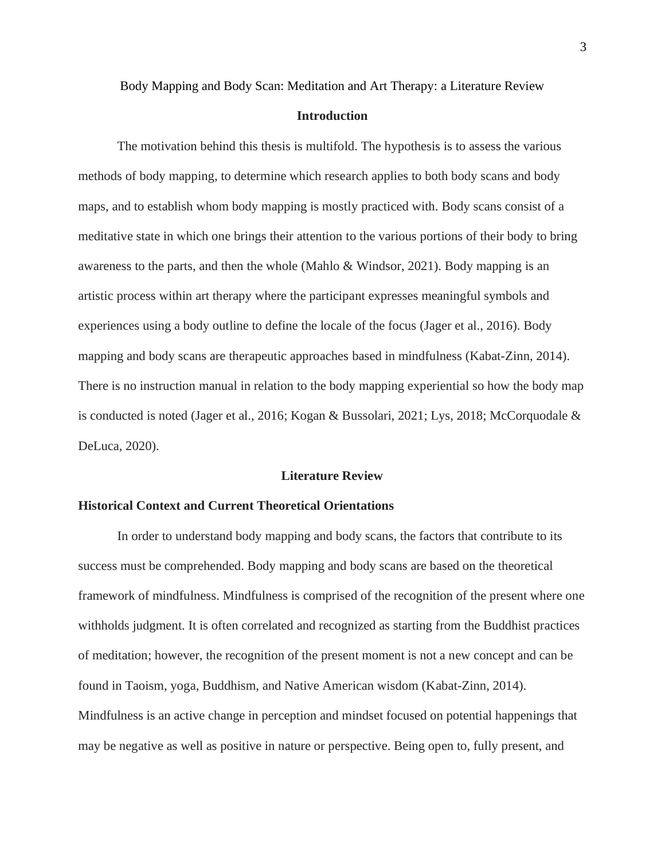Body Mapping and Body Scan: Meditation and Art Therapy: a Literature Review

### **Introduction**

The motivation behind this thesis is multifold. The hypothesis is to assess the various methods of body mapping, to determine which research applies to both body scans and body maps, and to establish whom body mapping is mostly practiced with. Body scans consist of a meditative state in which one brings their attention to the various portions of their body to bring awareness to the parts, and then the whole (Mahlo & Windsor, 2021). Body mapping is an artistic process within art therapy where the participant expresses meaningful symbols and experiences using a body outline to define the locale of the focus (Jager et al., 2016). Body mapping and body scans are therapeutic approaches based in mindfulness (Kabat-Zinn, 2014). There is no instruction manual in relation to the body mapping experiential so how the body map is conducted is noted (Jager et al., 2016; Kogan & Bussolari, 2021; Lys, 2018; McCorquodale & DeLuca, 2020).

### **Literature Review**

## **Historical Context and Current Theoretical Orientations**

In order to understand body mapping and body scans, the factors that contribute to its success must be comprehended. Body mapping and body scans are based on the theoretical framework of mindfulness. Mindfulness is comprised of the recognition of the present where one withholds judgment. It is often correlated and recognized as starting from the Buddhist practices of meditation; however, the recognition of the present moment is not a new concept and can be found in Taoism, yoga, Buddhism, and Native American wisdom (Kabat-Zinn, 2014). Mindfulness is an active change in perception and mindset focused on potential happenings that may be negative as well as positive in nature or perspective. Being open to, fully present, and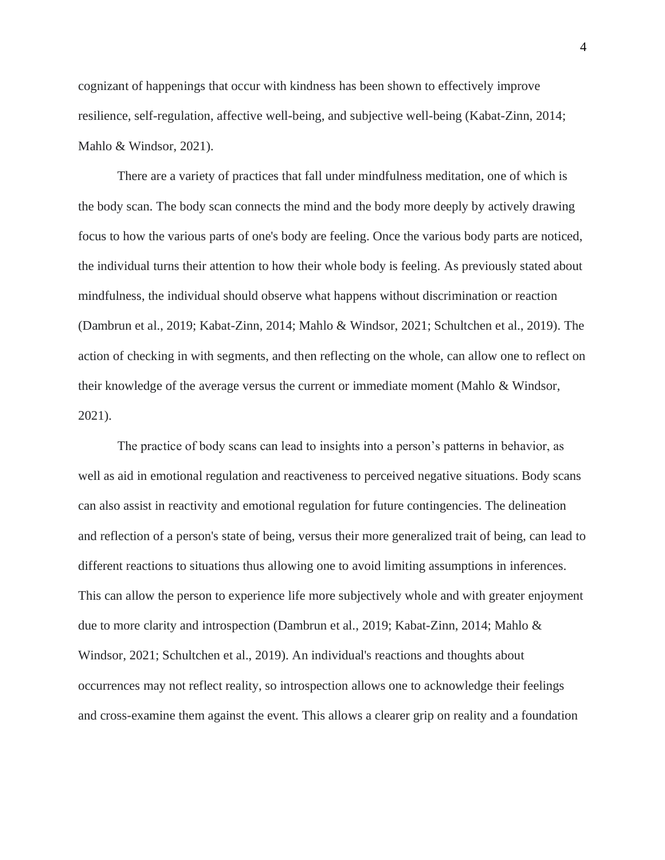cognizant of happenings that occur with kindness has been shown to effectively improve resilience, self-regulation, affective well-being, and subjective well-being (Kabat-Zinn, 2014; Mahlo & Windsor, 2021).

There are a variety of practices that fall under mindfulness meditation, one of which is the body scan. The body scan connects the mind and the body more deeply by actively drawing focus to how the various parts of one's body are feeling. Once the various body parts are noticed, the individual turns their attention to how their whole body is feeling. As previously stated about mindfulness, the individual should observe what happens without discrimination or reaction (Dambrun et al., 2019; Kabat-Zinn, 2014; Mahlo & Windsor, 2021; Schultchen et al., 2019). The action of checking in with segments, and then reflecting on the whole, can allow one to reflect on their knowledge of the average versus the current or immediate moment (Mahlo & Windsor, 2021).

The practice of body scans can lead to insights into a person's patterns in behavior, as well as aid in emotional regulation and reactiveness to perceived negative situations. Body scans can also assist in reactivity and emotional regulation for future contingencies. The delineation and reflection of a person's state of being, versus their more generalized trait of being, can lead to different reactions to situations thus allowing one to avoid limiting assumptions in inferences. This can allow the person to experience life more subjectively whole and with greater enjoyment due to more clarity and introspection (Dambrun et al., 2019; Kabat-Zinn, 2014; Mahlo & Windsor, 2021; Schultchen et al., 2019). An individual's reactions and thoughts about occurrences may not reflect reality, so introspection allows one to acknowledge their feelings and cross-examine them against the event. This allows a clearer grip on reality and a foundation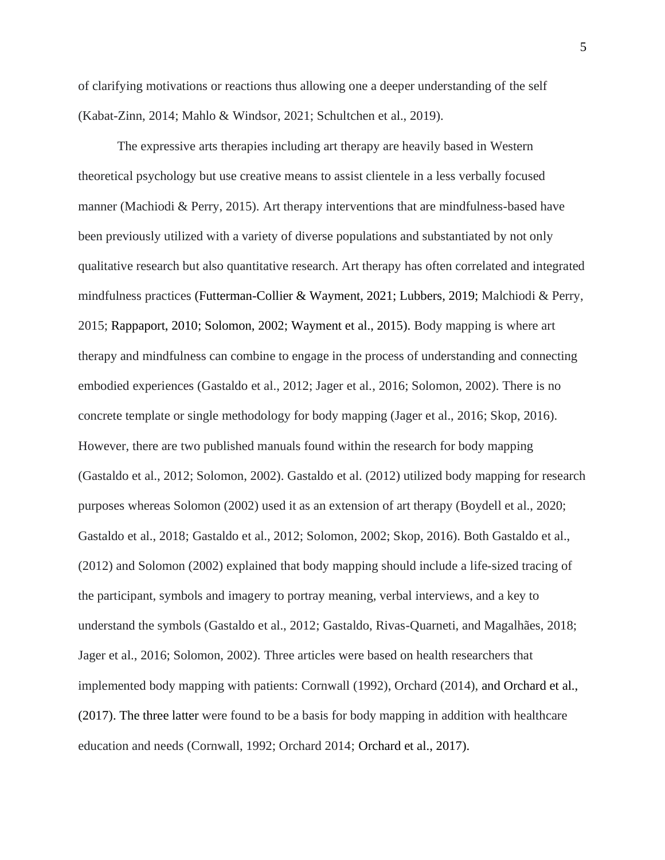of clarifying motivations or reactions thus allowing one a deeper understanding of the self (Kabat-Zinn, 2014; Mahlo & Windsor, 2021; Schultchen et al., 2019).

The expressive arts therapies including art therapy are heavily based in Western theoretical psychology but use creative means to assist clientele in a less verbally focused manner (Machiodi & Perry, 2015). Art therapy interventions that are mindfulness-based have been previously utilized with a variety of diverse populations and substantiated by not only qualitative research but also quantitative research. Art therapy has often correlated and integrated mindfulness practices (Futterman-Collier & Wayment, 2021; Lubbers, 2019; Malchiodi & Perry, 2015; Rappaport, 2010; Solomon, 2002; Wayment et al., 2015). Body mapping is where art therapy and mindfulness can combine to engage in the process of understanding and connecting embodied experiences (Gastaldo et al., 2012; Jager et al., 2016; Solomon, 2002). There is no concrete template or single methodology for body mapping (Jager et al., 2016; Skop, 2016). However, there are two published manuals found within the research for body mapping (Gastaldo et al., 2012; Solomon, 2002). Gastaldo et al. (2012) utilized body mapping for research purposes whereas Solomon (2002) used it as an extension of art therapy (Boydell et al., 2020; Gastaldo et al., 2018; Gastaldo et al., 2012; Solomon, 2002; Skop, 2016). Both Gastaldo et al., (2012) and Solomon (2002) explained that body mapping should include a life-sized tracing of the participant, symbols and imagery to portray meaning, verbal interviews, and a key to understand the symbols (Gastaldo et al., 2012; Gastaldo, Rivas-Quarneti, and Magalhães, 2018; Jager et al., 2016; Solomon, 2002). Three articles were based on health researchers that implemented body mapping with patients: Cornwall (1992), Orchard (2014), and Orchard et al., (2017). The three latter were found to be a basis for body mapping in addition with healthcare education and needs (Cornwall, 1992; Orchard 2014; Orchard et al., 2017).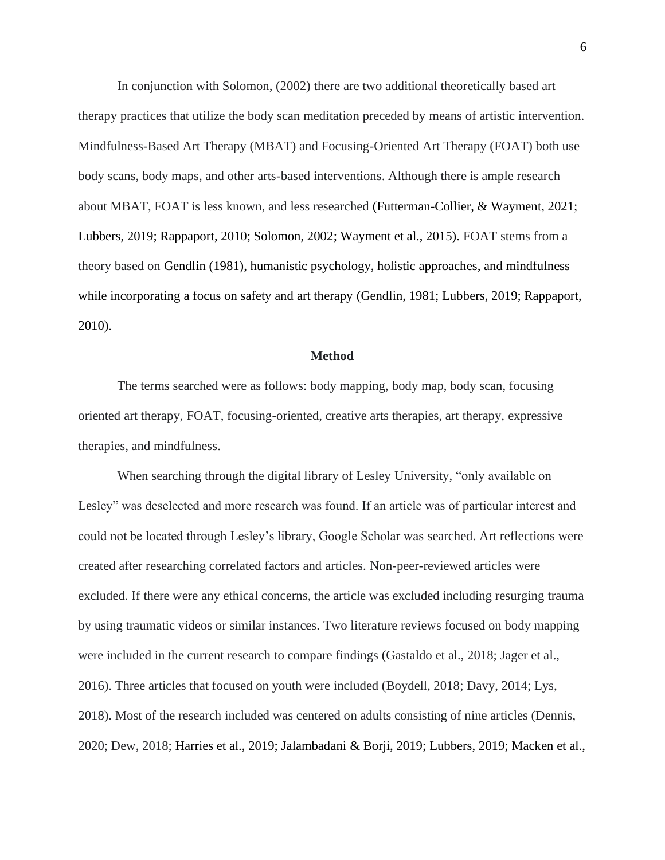In conjunction with Solomon, (2002) there are two additional theoretically based art therapy practices that utilize the body scan meditation preceded by means of artistic intervention. Mindfulness-Based Art Therapy (MBAT) and Focusing-Oriented Art Therapy (FOAT) both use body scans, body maps, and other arts-based interventions. Although there is ample research about MBAT, FOAT is less known, and less researched (Futterman-Collier, & Wayment, 2021; Lubbers, 2019; Rappaport, 2010; Solomon, 2002; Wayment et al., 2015). FOAT stems from a theory based on Gendlin (1981), humanistic psychology, holistic approaches, and mindfulness while incorporating a focus on safety and art therapy (Gendlin, 1981; Lubbers, 2019; Rappaport, 2010).

#### **Method**

The terms searched were as follows: body mapping, body map, body scan, focusing oriented art therapy, FOAT, focusing-oriented, creative arts therapies, art therapy, expressive therapies, and mindfulness.

When searching through the digital library of Lesley University, "only available on Lesley" was deselected and more research was found. If an article was of particular interest and could not be located through Lesley's library, Google Scholar was searched. Art reflections were created after researching correlated factors and articles. Non-peer-reviewed articles were excluded. If there were any ethical concerns, the article was excluded including resurging trauma by using traumatic videos or similar instances. Two literature reviews focused on body mapping were included in the current research to compare findings (Gastaldo et al., 2018; Jager et al., 2016). Three articles that focused on youth were included (Boydell, 2018; Davy, 2014; Lys, 2018). Most of the research included was centered on adults consisting of nine articles (Dennis, 2020; Dew, 2018; Harries et al., 2019; Jalambadani & Borji, 2019; Lubbers, 2019; Macken et al.,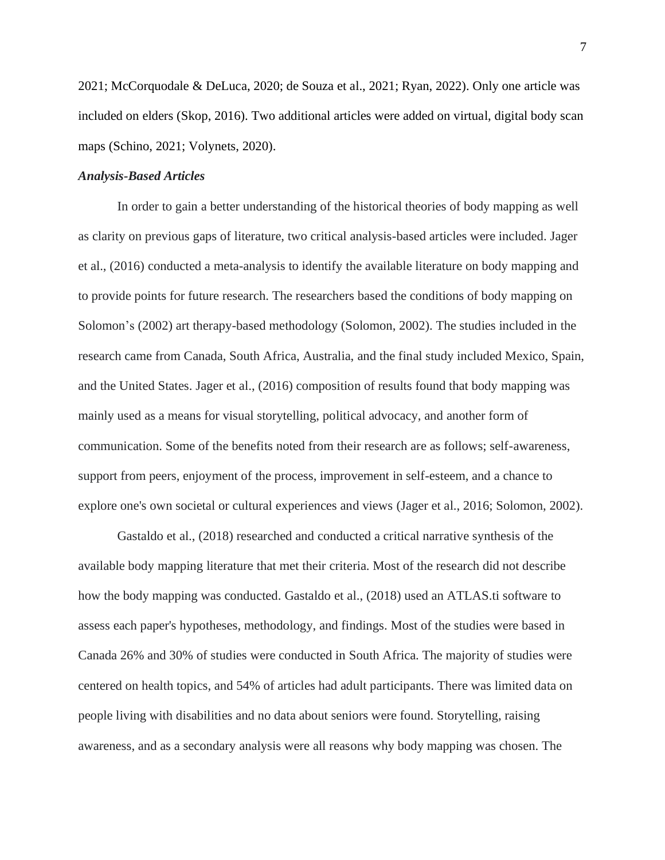2021; McCorquodale & DeLuca, 2020; de Souza et al., 2021; Ryan, 2022). Only one article was included on elders (Skop, 2016). Two additional articles were added on virtual, digital body scan maps (Schino, 2021; Volynets, 2020).

# *Analysis-Based Articles*

In order to gain a better understanding of the historical theories of body mapping as well as clarity on previous gaps of literature, two critical analysis-based articles were included. Jager et al., (2016) conducted a meta-analysis to identify the available literature on body mapping and to provide points for future research. The researchers based the conditions of body mapping on Solomon's (2002) art therapy-based methodology (Solomon, 2002). The studies included in the research came from Canada, South Africa, Australia, and the final study included Mexico, Spain, and the United States. Jager et al., (2016) composition of results found that body mapping was mainly used as a means for visual storytelling, political advocacy, and another form of communication. Some of the benefits noted from their research are as follows; self-awareness, support from peers, enjoyment of the process, improvement in self-esteem, and a chance to explore one's own societal or cultural experiences and views (Jager et al., 2016; Solomon, 2002).

Gastaldo et al., (2018) researched and conducted a critical narrative synthesis of the available body mapping literature that met their criteria. Most of the research did not describe how the body mapping was conducted. Gastaldo et al., (2018) used an ATLAS.ti software to assess each paper's hypotheses, methodology, and findings. Most of the studies were based in Canada 26% and 30% of studies were conducted in South Africa. The majority of studies were centered on health topics, and 54% of articles had adult participants. There was limited data on people living with disabilities and no data about seniors were found. Storytelling, raising awareness, and as a secondary analysis were all reasons why body mapping was chosen. The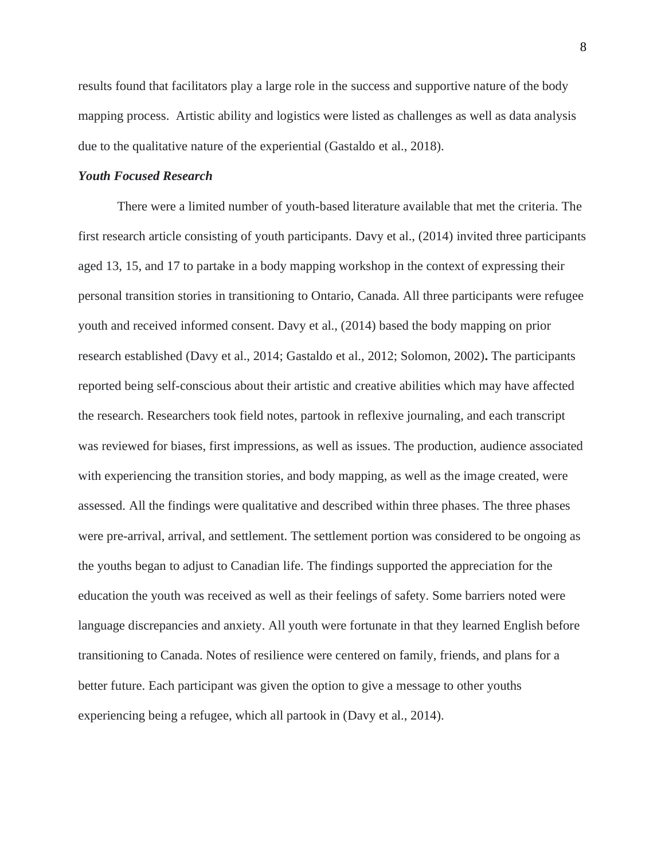results found that facilitators play a large role in the success and supportive nature of the body mapping process. Artistic ability and logistics were listed as challenges as well as data analysis due to the qualitative nature of the experiential (Gastaldo et al., 2018).

# *Youth Focused Research*

There were a limited number of youth-based literature available that met the criteria. The first research article consisting of youth participants. Davy et al., (2014) invited three participants aged 13, 15, and 17 to partake in a body mapping workshop in the context of expressing their personal transition stories in transitioning to Ontario, Canada. All three participants were refugee youth and received informed consent. Davy et al., (2014) based the body mapping on prior research established (Davy et al., 2014; Gastaldo et al., 2012; Solomon, 2002)**.** The participants reported being self-conscious about their artistic and creative abilities which may have affected the research. Researchers took field notes, partook in reflexive journaling, and each transcript was reviewed for biases, first impressions, as well as issues. The production, audience associated with experiencing the transition stories, and body mapping, as well as the image created, were assessed. All the findings were qualitative and described within three phases. The three phases were pre-arrival, arrival, and settlement. The settlement portion was considered to be ongoing as the youths began to adjust to Canadian life. The findings supported the appreciation for the education the youth was received as well as their feelings of safety. Some barriers noted were language discrepancies and anxiety. All youth were fortunate in that they learned English before transitioning to Canada. Notes of resilience were centered on family, friends, and plans for a better future. Each participant was given the option to give a message to other youths experiencing being a refugee, which all partook in (Davy et al., 2014).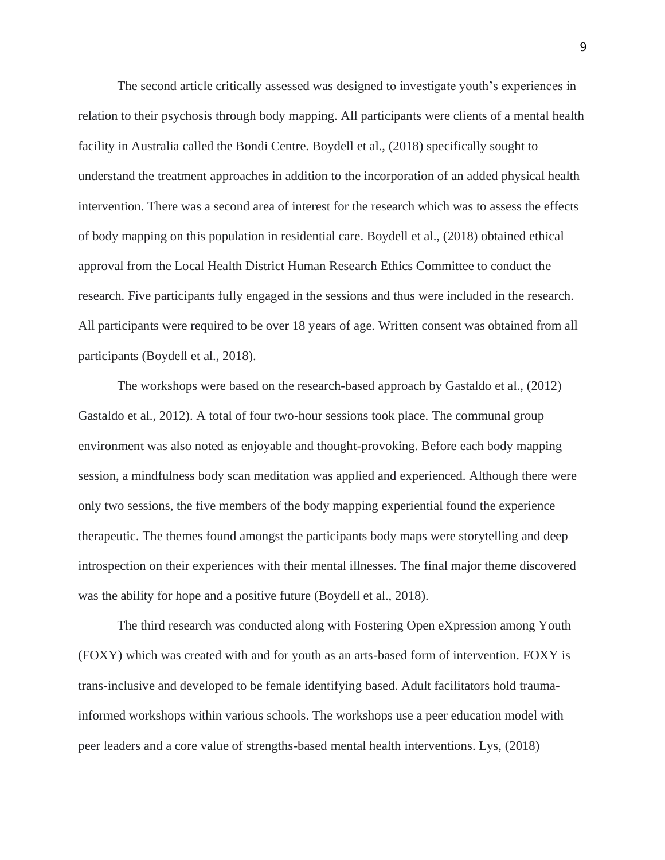The second article critically assessed was designed to investigate youth's experiences in relation to their psychosis through body mapping. All participants were clients of a mental health facility in Australia called the Bondi Centre. Boydell et al., (2018) specifically sought to understand the treatment approaches in addition to the incorporation of an added physical health intervention. There was a second area of interest for the research which was to assess the effects of body mapping on this population in residential care. Boydell et al., (2018) obtained ethical approval from the Local Health District Human Research Ethics Committee to conduct the research. Five participants fully engaged in the sessions and thus were included in the research. All participants were required to be over 18 years of age. Written consent was obtained from all participants (Boydell et al., 2018).

The workshops were based on the research-based approach by Gastaldo et al., (2012) Gastaldo et al., 2012). A total of four two-hour sessions took place. The communal group environment was also noted as enjoyable and thought-provoking. Before each body mapping session, a mindfulness body scan meditation was applied and experienced. Although there were only two sessions, the five members of the body mapping experiential found the experience therapeutic. The themes found amongst the participants body maps were storytelling and deep introspection on their experiences with their mental illnesses. The final major theme discovered was the ability for hope and a positive future (Boydell et al., 2018).

The third research was conducted along with Fostering Open eXpression among Youth (FOXY) which was created with and for youth as an arts-based form of intervention. FOXY is trans-inclusive and developed to be female identifying based. Adult facilitators hold traumainformed workshops within various schools. The workshops use a peer education model with peer leaders and a core value of strengths-based mental health interventions. Lys, (2018)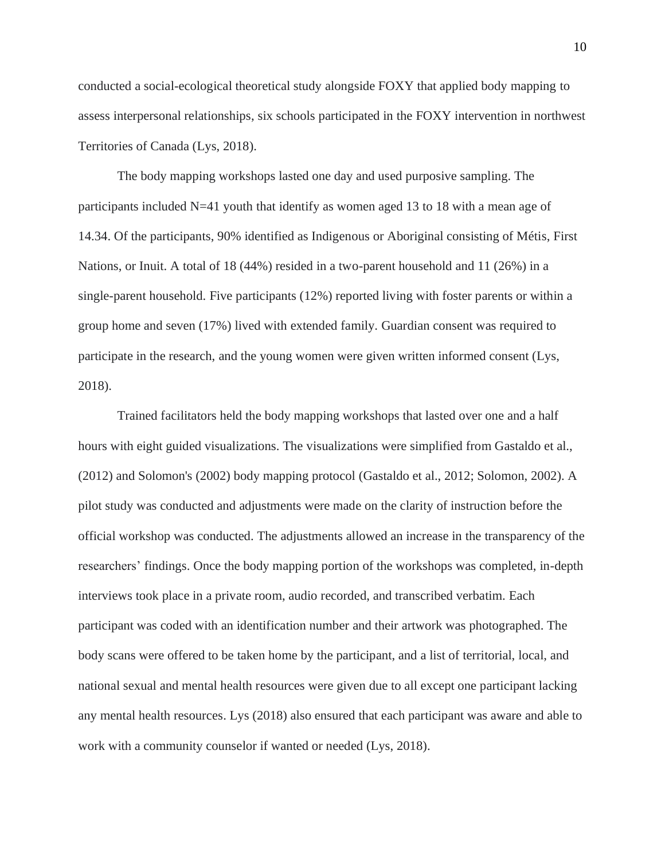conducted a social-ecological theoretical study alongside FOXY that applied body mapping to assess interpersonal relationships, six schools participated in the FOXY intervention in northwest Territories of Canada (Lys, 2018).

The body mapping workshops lasted one day and used purposive sampling. The participants included N=41 youth that identify as women aged 13 to 18 with a mean age of 14.34. Of the participants, 90% identified as Indigenous or Aboriginal consisting of Métis, First Nations, or Inuit. A total of 18 (44%) resided in a two-parent household and 11 (26%) in a single-parent household. Five participants (12%) reported living with foster parents or within a group home and seven (17%) lived with extended family. Guardian consent was required to participate in the research, and the young women were given written informed consent (Lys, 2018).

Trained facilitators held the body mapping workshops that lasted over one and a half hours with eight guided visualizations. The visualizations were simplified from Gastaldo et al., (2012) and Solomon's (2002) body mapping protocol (Gastaldo et al., 2012; Solomon, 2002). A pilot study was conducted and adjustments were made on the clarity of instruction before the official workshop was conducted. The adjustments allowed an increase in the transparency of the researchers' findings. Once the body mapping portion of the workshops was completed, in-depth interviews took place in a private room, audio recorded, and transcribed verbatim. Each participant was coded with an identification number and their artwork was photographed. The body scans were offered to be taken home by the participant, and a list of territorial, local, and national sexual and mental health resources were given due to all except one participant lacking any mental health resources. Lys (2018) also ensured that each participant was aware and able to work with a community counselor if wanted or needed (Lys, 2018).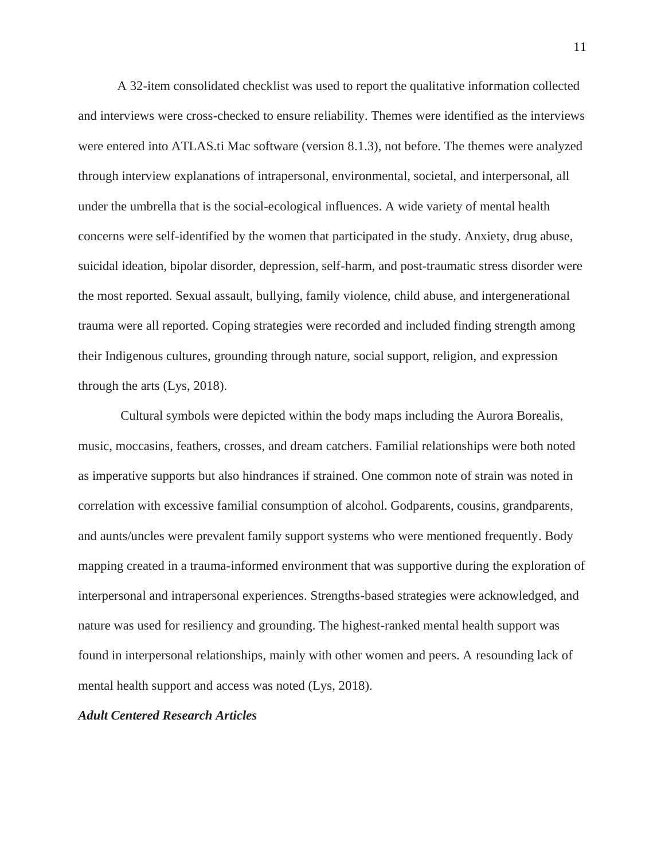A 32-item consolidated checklist was used to report the qualitative information collected and interviews were cross-checked to ensure reliability. Themes were identified as the interviews were entered into ATLAS.ti Mac software (version 8.1.3), not before. The themes were analyzed through interview explanations of intrapersonal, environmental, societal, and interpersonal, all under the umbrella that is the social-ecological influences. A wide variety of mental health concerns were self-identified by the women that participated in the study. Anxiety, drug abuse, suicidal ideation, bipolar disorder, depression, self-harm, and post-traumatic stress disorder were the most reported. Sexual assault, bullying, family violence, child abuse, and intergenerational trauma were all reported. Coping strategies were recorded and included finding strength among their Indigenous cultures, grounding through nature, social support, religion, and expression through the arts (Lys, 2018).

Cultural symbols were depicted within the body maps including the Aurora Borealis, music, moccasins, feathers, crosses, and dream catchers. Familial relationships were both noted as imperative supports but also hindrances if strained. One common note of strain was noted in correlation with excessive familial consumption of alcohol. Godparents, cousins, grandparents, and aunts/uncles were prevalent family support systems who were mentioned frequently. Body mapping created in a trauma-informed environment that was supportive during the exploration of interpersonal and intrapersonal experiences. Strengths-based strategies were acknowledged, and nature was used for resiliency and grounding. The highest-ranked mental health support was found in interpersonal relationships, mainly with other women and peers. A resounding lack of mental health support and access was noted (Lys, 2018).

# *Adult Centered Research Articles*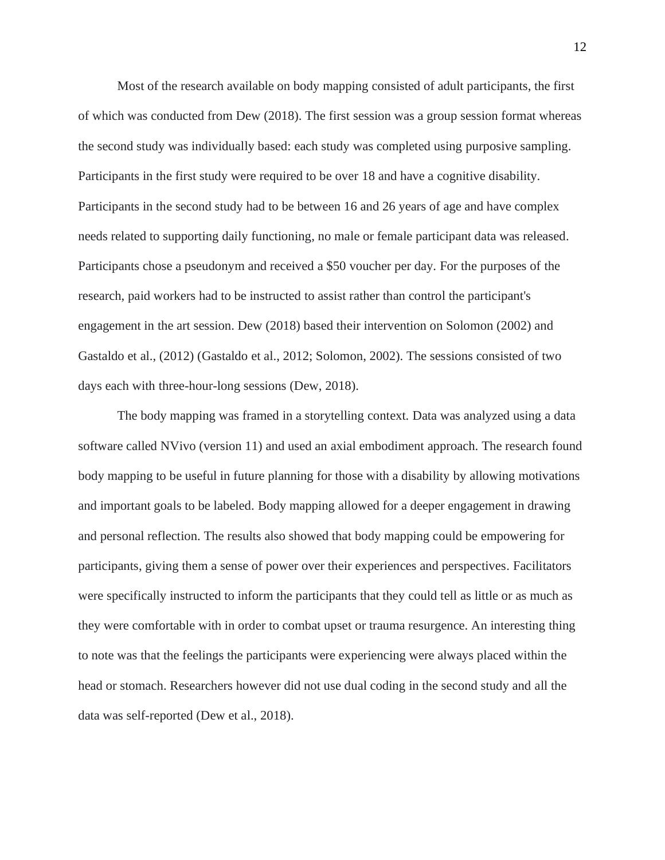Most of the research available on body mapping consisted of adult participants, the first of which was conducted from Dew (2018). The first session was a group session format whereas the second study was individually based: each study was completed using purposive sampling. Participants in the first study were required to be over 18 and have a cognitive disability. Participants in the second study had to be between 16 and 26 years of age and have complex needs related to supporting daily functioning, no male or female participant data was released. Participants chose a pseudonym and received a \$50 voucher per day. For the purposes of the research, paid workers had to be instructed to assist rather than control the participant's engagement in the art session. Dew (2018) based their intervention on Solomon (2002) and Gastaldo et al., (2012) (Gastaldo et al., 2012; Solomon, 2002). The sessions consisted of two days each with three-hour-long sessions (Dew, 2018).

The body mapping was framed in a storytelling context. Data was analyzed using a data software called NVivo (version 11) and used an axial embodiment approach. The research found body mapping to be useful in future planning for those with a disability by allowing motivations and important goals to be labeled. Body mapping allowed for a deeper engagement in drawing and personal reflection. The results also showed that body mapping could be empowering for participants, giving them a sense of power over their experiences and perspectives. Facilitators were specifically instructed to inform the participants that they could tell as little or as much as they were comfortable with in order to combat upset or trauma resurgence. An interesting thing to note was that the feelings the participants were experiencing were always placed within the head or stomach. Researchers however did not use dual coding in the second study and all the data was self-reported (Dew et al., 2018).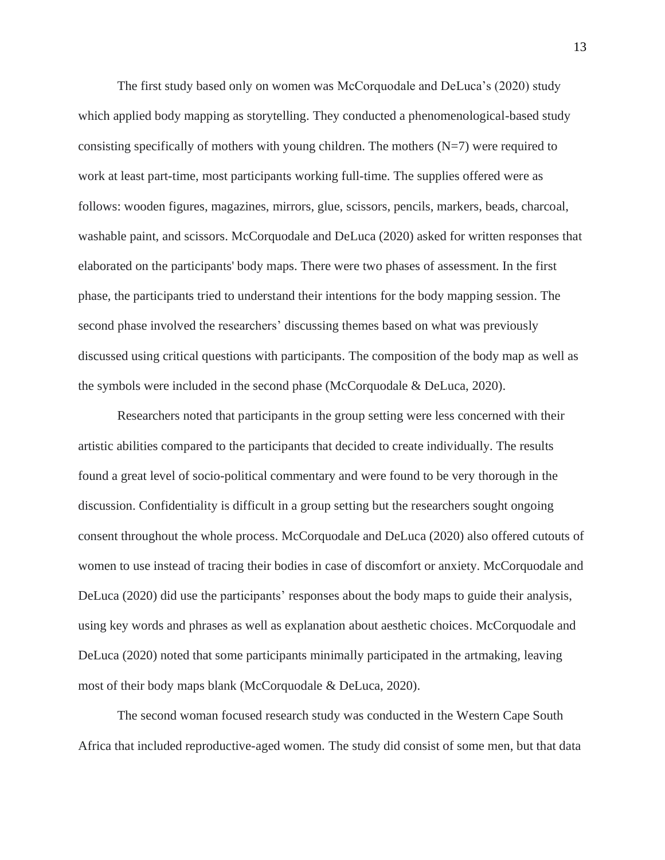The first study based only on women was McCorquodale and DeLuca's (2020) study which applied body mapping as storytelling. They conducted a phenomenological-based study consisting specifically of mothers with young children. The mothers  $(N=7)$  were required to work at least part-time, most participants working full-time. The supplies offered were as follows: wooden figures, magazines, mirrors, glue, scissors, pencils, markers, beads, charcoal, washable paint, and scissors. McCorquodale and DeLuca (2020) asked for written responses that elaborated on the participants' body maps. There were two phases of assessment. In the first phase, the participants tried to understand their intentions for the body mapping session. The second phase involved the researchers' discussing themes based on what was previously discussed using critical questions with participants. The composition of the body map as well as the symbols were included in the second phase (McCorquodale & DeLuca, 2020).

Researchers noted that participants in the group setting were less concerned with their artistic abilities compared to the participants that decided to create individually. The results found a great level of socio-political commentary and were found to be very thorough in the discussion. Confidentiality is difficult in a group setting but the researchers sought ongoing consent throughout the whole process. McCorquodale and DeLuca (2020) also offered cutouts of women to use instead of tracing their bodies in case of discomfort or anxiety. McCorquodale and DeLuca (2020) did use the participants' responses about the body maps to guide their analysis, using key words and phrases as well as explanation about aesthetic choices. McCorquodale and DeLuca (2020) noted that some participants minimally participated in the artmaking, leaving most of their body maps blank (McCorquodale & DeLuca, 2020).

The second woman focused research study was conducted in the Western Cape South Africa that included reproductive-aged women. The study did consist of some men, but that data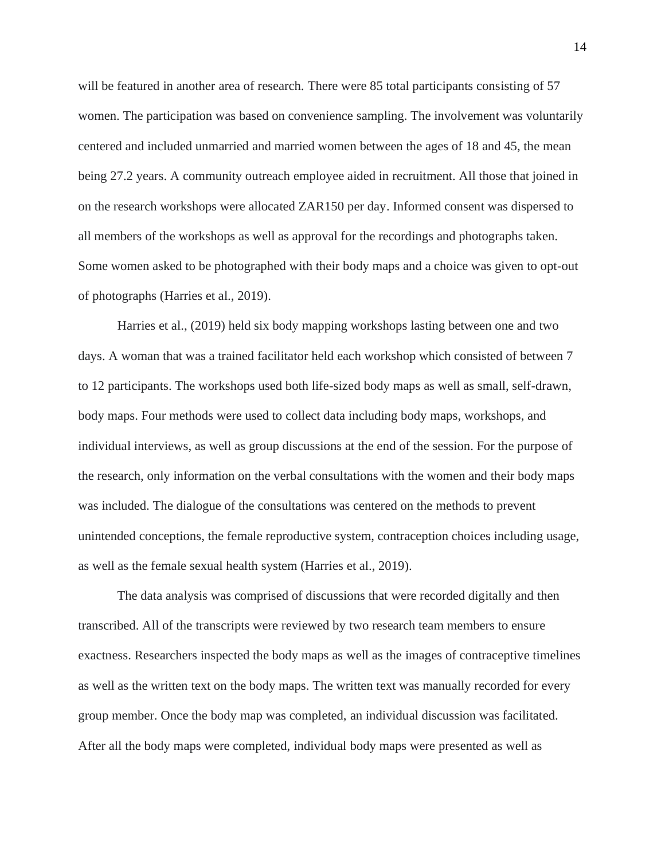will be featured in another area of research. There were 85 total participants consisting of 57 women. The participation was based on convenience sampling. The involvement was voluntarily centered and included unmarried and married women between the ages of 18 and 45, the mean being 27.2 years. A community outreach employee aided in recruitment. All those that joined in on the research workshops were allocated ZAR150 per day. Informed consent was dispersed to all members of the workshops as well as approval for the recordings and photographs taken. Some women asked to be photographed with their body maps and a choice was given to opt-out of photographs (Harries et al., 2019).

Harries et al., (2019) held six body mapping workshops lasting between one and two days. A woman that was a trained facilitator held each workshop which consisted of between 7 to 12 participants. The workshops used both life-sized body maps as well as small, self-drawn, body maps. Four methods were used to collect data including body maps, workshops, and individual interviews, as well as group discussions at the end of the session. For the purpose of the research, only information on the verbal consultations with the women and their body maps was included. The dialogue of the consultations was centered on the methods to prevent unintended conceptions, the female reproductive system, contraception choices including usage, as well as the female sexual health system (Harries et al., 2019).

The data analysis was comprised of discussions that were recorded digitally and then transcribed. All of the transcripts were reviewed by two research team members to ensure exactness. Researchers inspected the body maps as well as the images of contraceptive timelines as well as the written text on the body maps. The written text was manually recorded for every group member. Once the body map was completed, an individual discussion was facilitated. After all the body maps were completed, individual body maps were presented as well as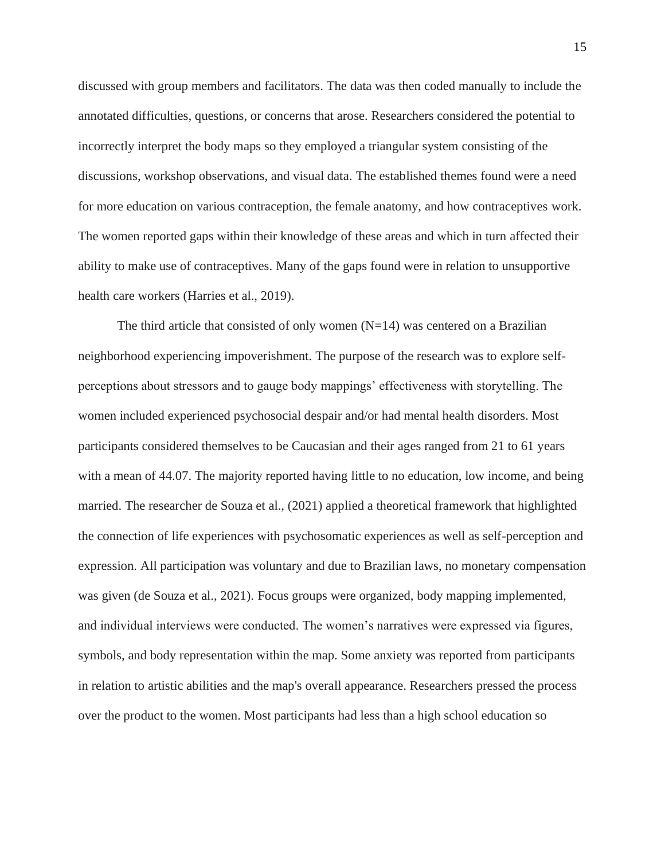discussed with group members and facilitators. The data was then coded manually to include the annotated difficulties, questions, or concerns that arose. Researchers considered the potential to incorrectly interpret the body maps so they employed a triangular system consisting of the discussions, workshop observations, and visual data. The established themes found were a need for more education on various contraception, the female anatomy, and how contraceptives work. The women reported gaps within their knowledge of these areas and which in turn affected their ability to make use of contraceptives. Many of the gaps found were in relation to unsupportive health care workers (Harries et al., 2019).

The third article that consisted of only women  $(N=14)$  was centered on a Brazilian neighborhood experiencing impoverishment. The purpose of the research was to explore selfperceptions about stressors and to gauge body mappings' effectiveness with storytelling. The women included experienced psychosocial despair and/or had mental health disorders. Most participants considered themselves to be Caucasian and their ages ranged from 21 to 61 years with a mean of 44.07. The majority reported having little to no education, low income, and being married. The researcher de Souza et al., (2021) applied a theoretical framework that highlighted the connection of life experiences with psychosomatic experiences as well as self-perception and expression. All participation was voluntary and due to Brazilian laws, no monetary compensation was given (de Souza et al., 2021). Focus groups were organized, body mapping implemented, and individual interviews were conducted. The women's narratives were expressed via figures, symbols, and body representation within the map. Some anxiety was reported from participants in relation to artistic abilities and the map's overall appearance. Researchers pressed the process over the product to the women. Most participants had less than a high school education so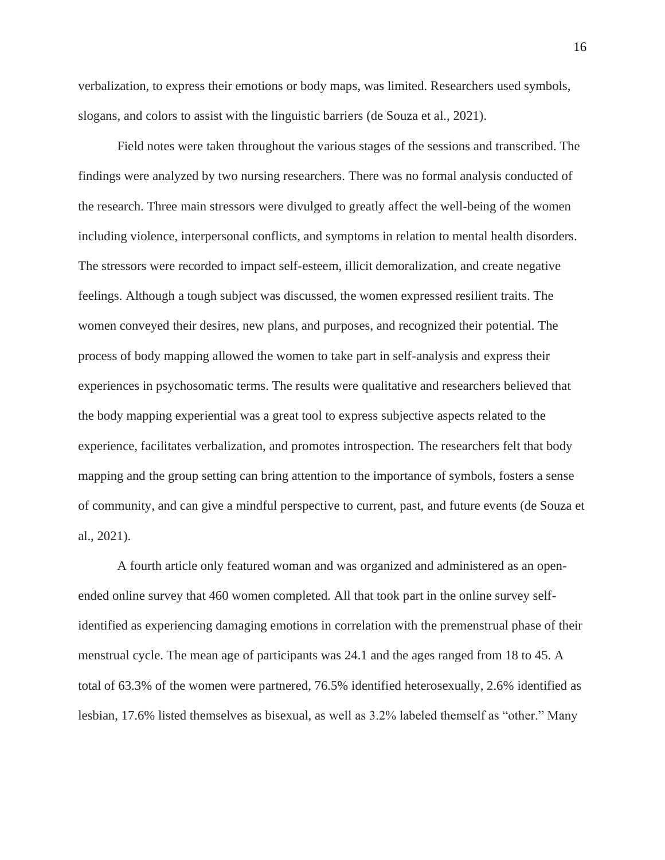verbalization, to express their emotions or body maps, was limited. Researchers used symbols, slogans, and colors to assist with the linguistic barriers (de Souza et al., 2021).

Field notes were taken throughout the various stages of the sessions and transcribed. The findings were analyzed by two nursing researchers. There was no formal analysis conducted of the research. Three main stressors were divulged to greatly affect the well-being of the women including violence, interpersonal conflicts, and symptoms in relation to mental health disorders. The stressors were recorded to impact self-esteem, illicit demoralization, and create negative feelings. Although a tough subject was discussed, the women expressed resilient traits. The women conveyed their desires, new plans, and purposes, and recognized their potential. The process of body mapping allowed the women to take part in self-analysis and express their experiences in psychosomatic terms. The results were qualitative and researchers believed that the body mapping experiential was a great tool to express subjective aspects related to the experience, facilitates verbalization, and promotes introspection. The researchers felt that body mapping and the group setting can bring attention to the importance of symbols, fosters a sense of community, and can give a mindful perspective to current, past, and future events (de Souza et al., 2021).

A fourth article only featured woman and was organized and administered as an openended online survey that 460 women completed. All that took part in the online survey selfidentified as experiencing damaging emotions in correlation with the premenstrual phase of their menstrual cycle. The mean age of participants was 24.1 and the ages ranged from 18 to 45. A total of 63.3% of the women were partnered, 76.5% identified heterosexually, 2.6% identified as lesbian, 17.6% listed themselves as bisexual, as well as 3.2% labeled themself as "other." Many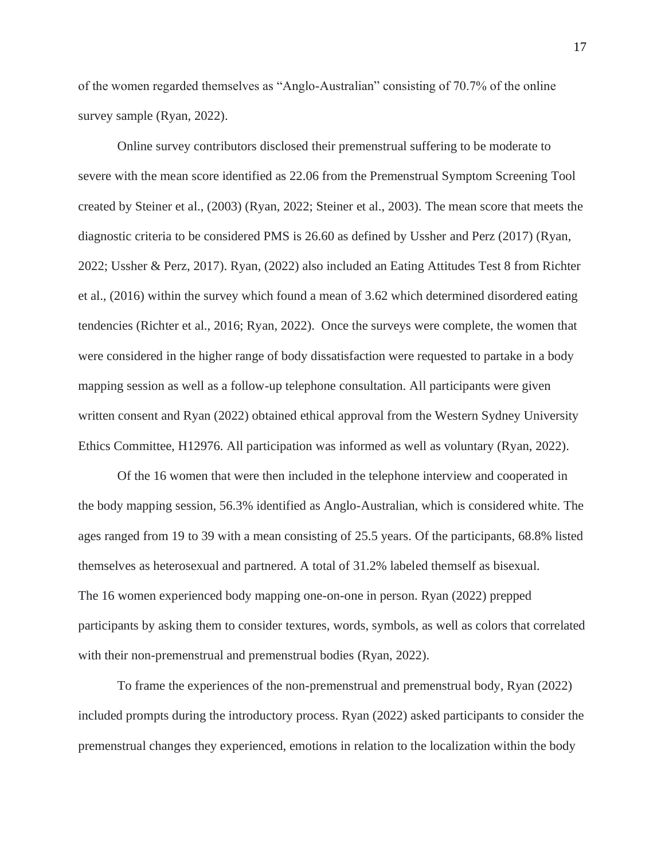of the women regarded themselves as "Anglo-Australian" consisting of 70.7% of the online survey sample (Ryan, 2022).

Online survey contributors disclosed their premenstrual suffering to be moderate to severe with the mean score identified as 22.06 from the Premenstrual Symptom Screening Tool created by Steiner et al., (2003) (Ryan, 2022; Steiner et al., 2003). The mean score that meets the diagnostic criteria to be considered PMS is 26.60 as defined by Ussher and Perz (2017) (Ryan, 2022; Ussher & Perz, 2017). Ryan, (2022) also included an Eating Attitudes Test 8 from Richter et al., (2016) within the survey which found a mean of 3.62 which determined disordered eating tendencies (Richter et al., 2016; Ryan, 2022). Once the surveys were complete, the women that were considered in the higher range of body dissatisfaction were requested to partake in a body mapping session as well as a follow-up telephone consultation. All participants were given written consent and Ryan (2022) obtained ethical approval from the Western Sydney University Ethics Committee, H12976. All participation was informed as well as voluntary (Ryan, 2022).

Of the 16 women that were then included in the telephone interview and cooperated in the body mapping session, 56.3% identified as Anglo-Australian, which is considered white. The ages ranged from 19 to 39 with a mean consisting of 25.5 years. Of the participants, 68.8% listed themselves as heterosexual and partnered. A total of 31.2% labeled themself as bisexual. The 16 women experienced body mapping one-on-one in person. Ryan (2022) prepped participants by asking them to consider textures, words, symbols, as well as colors that correlated with their non-premenstrual and premenstrual bodies (Ryan, 2022).

To frame the experiences of the non-premenstrual and premenstrual body, Ryan (2022) included prompts during the introductory process. Ryan (2022) asked participants to consider the premenstrual changes they experienced, emotions in relation to the localization within the body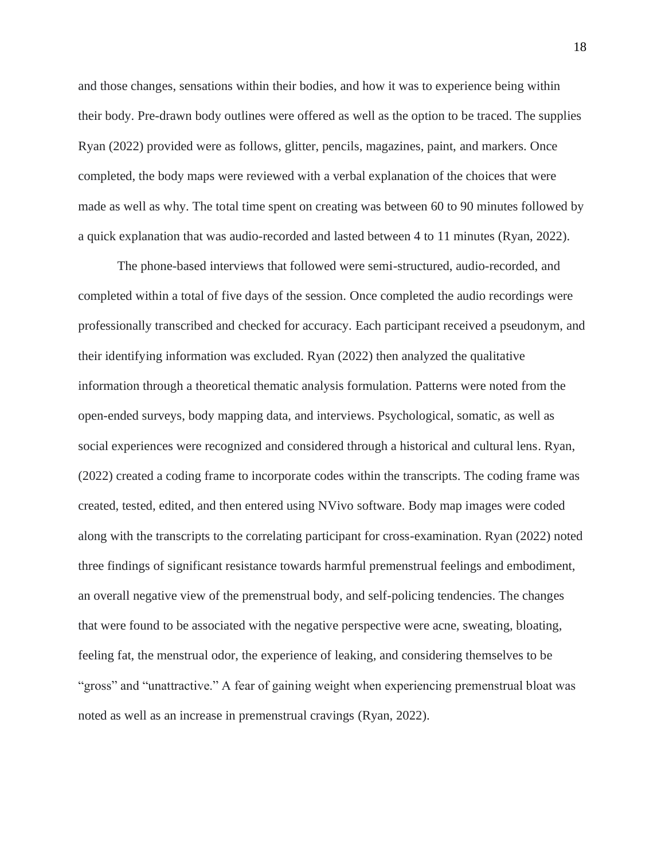and those changes, sensations within their bodies, and how it was to experience being within their body. Pre-drawn body outlines were offered as well as the option to be traced. The supplies Ryan (2022) provided were as follows, glitter, pencils, magazines, paint, and markers. Once completed, the body maps were reviewed with a verbal explanation of the choices that were made as well as why. The total time spent on creating was between 60 to 90 minutes followed by a quick explanation that was audio-recorded and lasted between 4 to 11 minutes (Ryan, 2022).

The phone-based interviews that followed were semi-structured, audio-recorded, and completed within a total of five days of the session. Once completed the audio recordings were professionally transcribed and checked for accuracy. Each participant received a pseudonym, and their identifying information was excluded. Ryan (2022) then analyzed the qualitative information through a theoretical thematic analysis formulation. Patterns were noted from the open-ended surveys, body mapping data, and interviews. Psychological, somatic, as well as social experiences were recognized and considered through a historical and cultural lens. Ryan, (2022) created a coding frame to incorporate codes within the transcripts. The coding frame was created, tested, edited, and then entered using NVivo software. Body map images were coded along with the transcripts to the correlating participant for cross-examination. Ryan (2022) noted three findings of significant resistance towards harmful premenstrual feelings and embodiment, an overall negative view of the premenstrual body, and self-policing tendencies. The changes that were found to be associated with the negative perspective were acne, sweating, bloating, feeling fat, the menstrual odor, the experience of leaking, and considering themselves to be "gross" and "unattractive." A fear of gaining weight when experiencing premenstrual bloat was noted as well as an increase in premenstrual cravings (Ryan, 2022).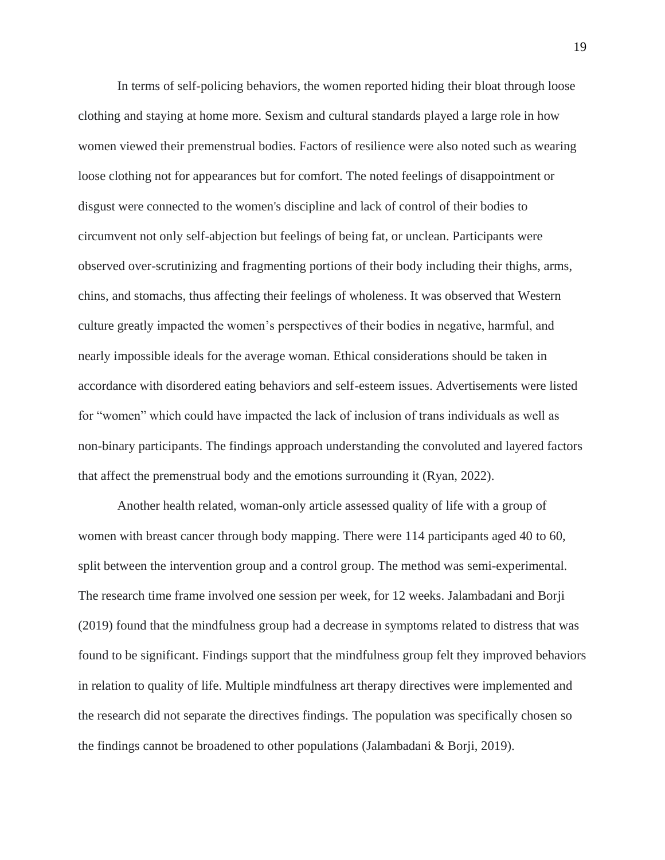In terms of self-policing behaviors, the women reported hiding their bloat through loose clothing and staying at home more. Sexism and cultural standards played a large role in how women viewed their premenstrual bodies. Factors of resilience were also noted such as wearing loose clothing not for appearances but for comfort. The noted feelings of disappointment or disgust were connected to the women's discipline and lack of control of their bodies to circumvent not only self-abjection but feelings of being fat, or unclean. Participants were observed over-scrutinizing and fragmenting portions of their body including their thighs, arms, chins, and stomachs, thus affecting their feelings of wholeness. It was observed that Western culture greatly impacted the women's perspectives of their bodies in negative, harmful, and nearly impossible ideals for the average woman. Ethical considerations should be taken in accordance with disordered eating behaviors and self-esteem issues. Advertisements were listed for "women" which could have impacted the lack of inclusion of trans individuals as well as non-binary participants. The findings approach understanding the convoluted and layered factors that affect the premenstrual body and the emotions surrounding it (Ryan, 2022).

Another health related, woman-only article assessed quality of life with a group of women with breast cancer through body mapping. There were 114 participants aged 40 to 60, split between the intervention group and a control group. The method was semi-experimental. The research time frame involved one session per week, for 12 weeks. Jalambadani and Borji (2019) found that the mindfulness group had a decrease in symptoms related to distress that was found to be significant. Findings support that the mindfulness group felt they improved behaviors in relation to quality of life. Multiple mindfulness art therapy directives were implemented and the research did not separate the directives findings. The population was specifically chosen so the findings cannot be broadened to other populations (Jalambadani & Borji, 2019).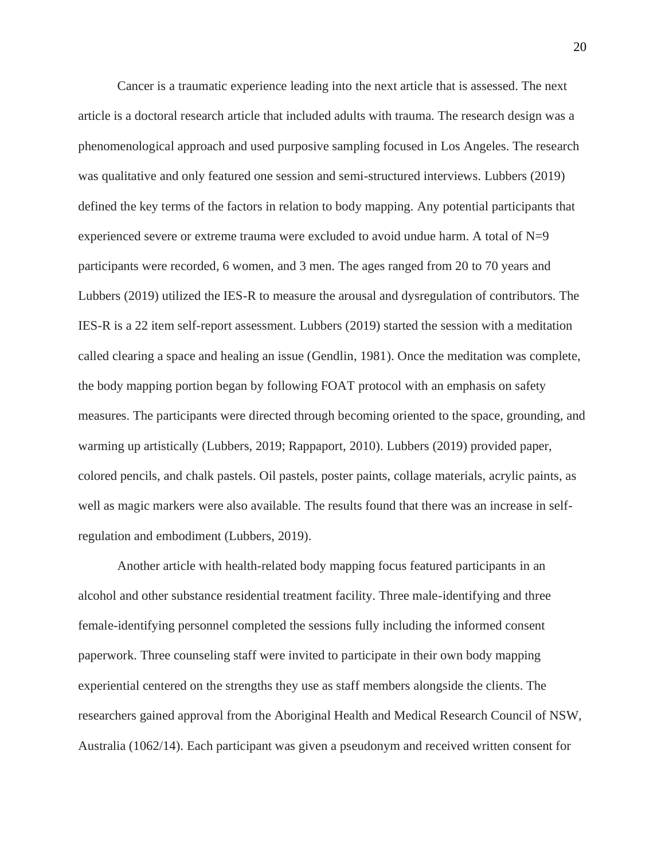Cancer is a traumatic experience leading into the next article that is assessed. The next article is a doctoral research article that included adults with trauma. The research design was a phenomenological approach and used purposive sampling focused in Los Angeles. The research was qualitative and only featured one session and semi-structured interviews. Lubbers (2019) defined the key terms of the factors in relation to body mapping. Any potential participants that experienced severe or extreme trauma were excluded to avoid undue harm. A total of  $N=9$ participants were recorded, 6 women, and 3 men. The ages ranged from 20 to 70 years and Lubbers (2019) utilized the IES-R to measure the arousal and dysregulation of contributors. The IES-R is a 22 item self-report assessment. Lubbers (2019) started the session with a meditation called clearing a space and healing an issue (Gendlin, 1981). Once the meditation was complete, the body mapping portion began by following FOAT protocol with an emphasis on safety measures. The participants were directed through becoming oriented to the space, grounding, and warming up artistically (Lubbers, 2019; Rappaport, 2010). Lubbers (2019) provided paper, colored pencils, and chalk pastels. Oil pastels, poster paints, collage materials, acrylic paints, as well as magic markers were also available. The results found that there was an increase in selfregulation and embodiment (Lubbers, 2019).

Another article with health-related body mapping focus featured participants in an alcohol and other substance residential treatment facility. Three male-identifying and three female-identifying personnel completed the sessions fully including the informed consent paperwork. Three counseling staff were invited to participate in their own body mapping experiential centered on the strengths they use as staff members alongside the clients. The researchers gained approval from the Aboriginal Health and Medical Research Council of NSW, Australia (1062/14). Each participant was given a pseudonym and received written consent for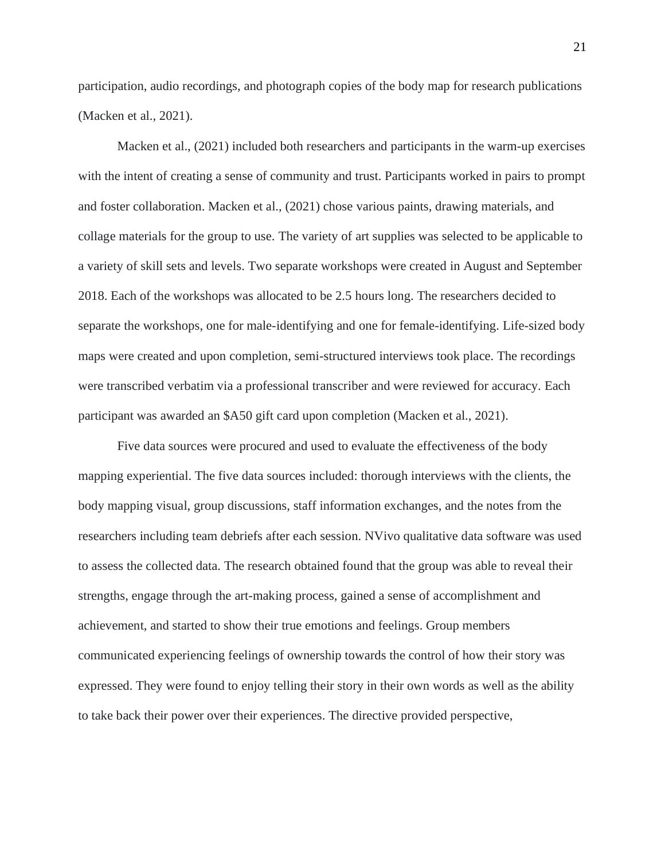participation, audio recordings, and photograph copies of the body map for research publications (Macken et al., 2021).

Macken et al., (2021) included both researchers and participants in the warm-up exercises with the intent of creating a sense of community and trust. Participants worked in pairs to prompt and foster collaboration. Macken et al., (2021) chose various paints, drawing materials, and collage materials for the group to use. The variety of art supplies was selected to be applicable to a variety of skill sets and levels. Two separate workshops were created in August and September 2018. Each of the workshops was allocated to be 2.5 hours long. The researchers decided to separate the workshops, one for male-identifying and one for female-identifying. Life-sized body maps were created and upon completion, semi-structured interviews took place. The recordings were transcribed verbatim via a professional transcriber and were reviewed for accuracy. Each participant was awarded an \$A50 gift card upon completion (Macken et al., 2021).

Five data sources were procured and used to evaluate the effectiveness of the body mapping experiential. The five data sources included: thorough interviews with the clients, the body mapping visual, group discussions, staff information exchanges, and the notes from the researchers including team debriefs after each session. NVivo qualitative data software was used to assess the collected data. The research obtained found that the group was able to reveal their strengths, engage through the art-making process, gained a sense of accomplishment and achievement, and started to show their true emotions and feelings. Group members communicated experiencing feelings of ownership towards the control of how their story was expressed. They were found to enjoy telling their story in their own words as well as the ability to take back their power over their experiences. The directive provided perspective,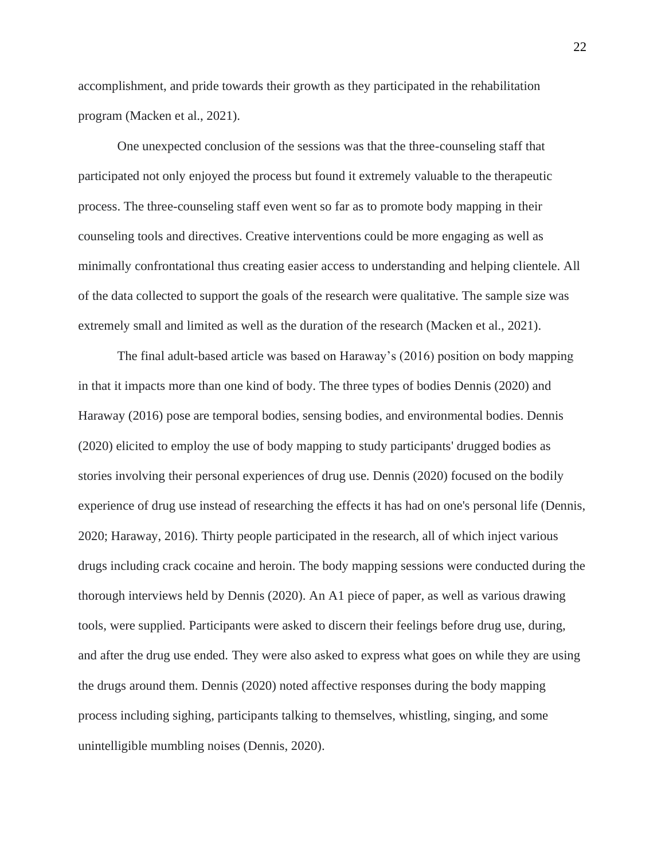accomplishment, and pride towards their growth as they participated in the rehabilitation program (Macken et al., 2021).

One unexpected conclusion of the sessions was that the three-counseling staff that participated not only enjoyed the process but found it extremely valuable to the therapeutic process. The three-counseling staff even went so far as to promote body mapping in their counseling tools and directives. Creative interventions could be more engaging as well as minimally confrontational thus creating easier access to understanding and helping clientele. All of the data collected to support the goals of the research were qualitative. The sample size was extremely small and limited as well as the duration of the research (Macken et al., 2021).

The final adult-based article was based on Haraway's (2016) position on body mapping in that it impacts more than one kind of body. The three types of bodies Dennis (2020) and Haraway (2016) pose are temporal bodies, sensing bodies, and environmental bodies. Dennis (2020) elicited to employ the use of body mapping to study participants' drugged bodies as stories involving their personal experiences of drug use. Dennis (2020) focused on the bodily experience of drug use instead of researching the effects it has had on one's personal life (Dennis, 2020; Haraway, 2016). Thirty people participated in the research, all of which inject various drugs including crack cocaine and heroin. The body mapping sessions were conducted during the thorough interviews held by Dennis (2020). An A1 piece of paper, as well as various drawing tools, were supplied. Participants were asked to discern their feelings before drug use, during, and after the drug use ended. They were also asked to express what goes on while they are using the drugs around them. Dennis (2020) noted affective responses during the body mapping process including sighing, participants talking to themselves, whistling, singing, and some unintelligible mumbling noises (Dennis, 2020).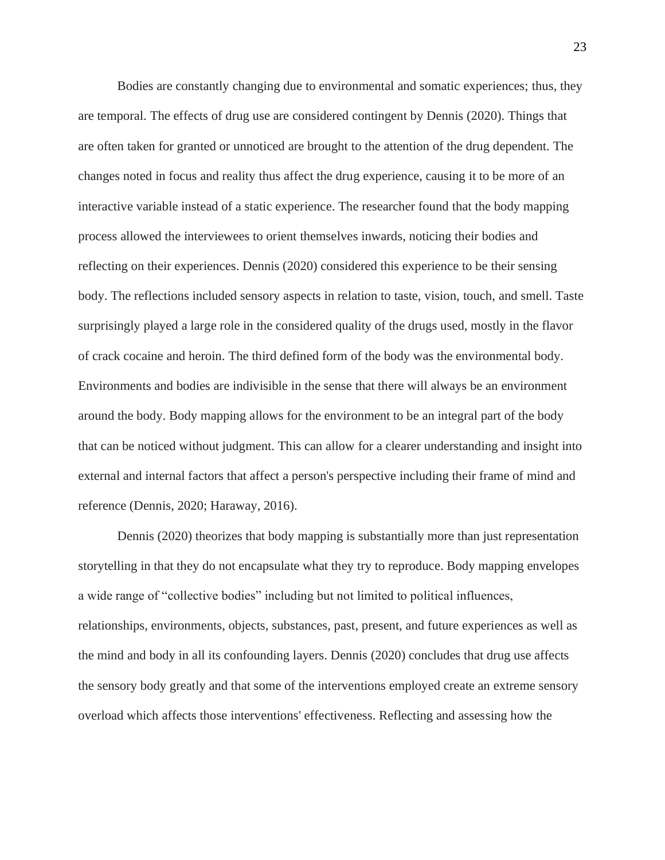Bodies are constantly changing due to environmental and somatic experiences; thus, they are temporal. The effects of drug use are considered contingent by Dennis (2020). Things that are often taken for granted or unnoticed are brought to the attention of the drug dependent. The changes noted in focus and reality thus affect the drug experience, causing it to be more of an interactive variable instead of a static experience. The researcher found that the body mapping process allowed the interviewees to orient themselves inwards, noticing their bodies and reflecting on their experiences. Dennis (2020) considered this experience to be their sensing body. The reflections included sensory aspects in relation to taste, vision, touch, and smell. Taste surprisingly played a large role in the considered quality of the drugs used, mostly in the flavor of crack cocaine and heroin. The third defined form of the body was the environmental body. Environments and bodies are indivisible in the sense that there will always be an environment around the body. Body mapping allows for the environment to be an integral part of the body that can be noticed without judgment. This can allow for a clearer understanding and insight into external and internal factors that affect a person's perspective including their frame of mind and reference (Dennis, 2020; Haraway, 2016).

Dennis (2020) theorizes that body mapping is substantially more than just representation storytelling in that they do not encapsulate what they try to reproduce. Body mapping envelopes a wide range of "collective bodies" including but not limited to political influences, relationships, environments, objects, substances, past, present, and future experiences as well as the mind and body in all its confounding layers. Dennis (2020) concludes that drug use affects the sensory body greatly and that some of the interventions employed create an extreme sensory overload which affects those interventions' effectiveness. Reflecting and assessing how the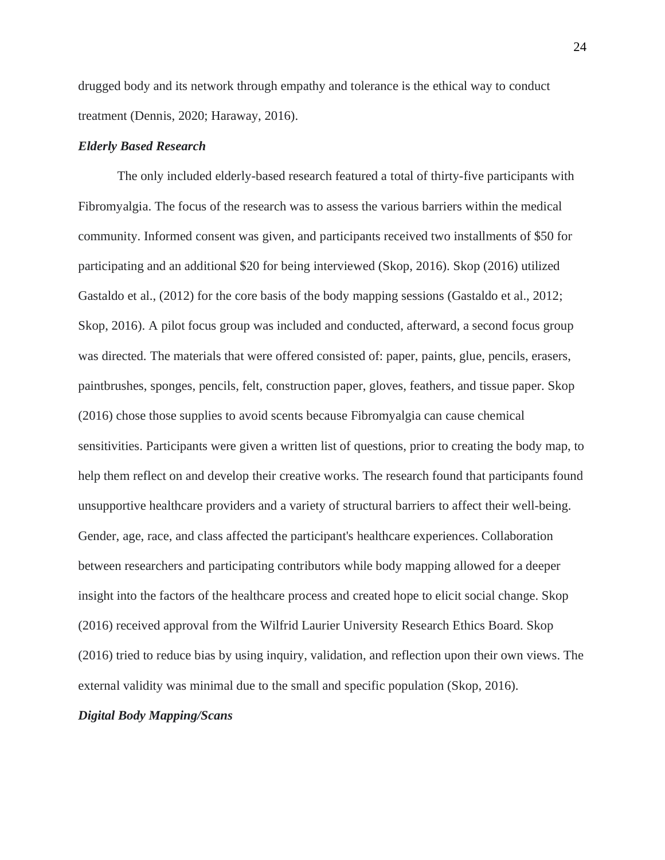drugged body and its network through empathy and tolerance is the ethical way to conduct treatment (Dennis, 2020; Haraway, 2016).

## *Elderly Based Research*

The only included elderly-based research featured a total of thirty-five participants with Fibromyalgia. The focus of the research was to assess the various barriers within the medical community. Informed consent was given, and participants received two installments of \$50 for participating and an additional \$20 for being interviewed (Skop, 2016). Skop (2016) utilized Gastaldo et al., (2012) for the core basis of the body mapping sessions (Gastaldo et al., 2012; Skop, 2016). A pilot focus group was included and conducted, afterward, a second focus group was directed. The materials that were offered consisted of: paper, paints, glue, pencils, erasers, paintbrushes, sponges, pencils, felt, construction paper, gloves, feathers, and tissue paper. Skop (2016) chose those supplies to avoid scents because Fibromyalgia can cause chemical sensitivities. Participants were given a written list of questions, prior to creating the body map, to help them reflect on and develop their creative works. The research found that participants found unsupportive healthcare providers and a variety of structural barriers to affect their well-being. Gender, age, race, and class affected the participant's healthcare experiences. Collaboration between researchers and participating contributors while body mapping allowed for a deeper insight into the factors of the healthcare process and created hope to elicit social change. Skop (2016) received approval from the Wilfrid Laurier University Research Ethics Board. Skop (2016) tried to reduce bias by using inquiry, validation, and reflection upon their own views. The external validity was minimal due to the small and specific population (Skop, 2016).

#### *Digital Body Mapping/Scans*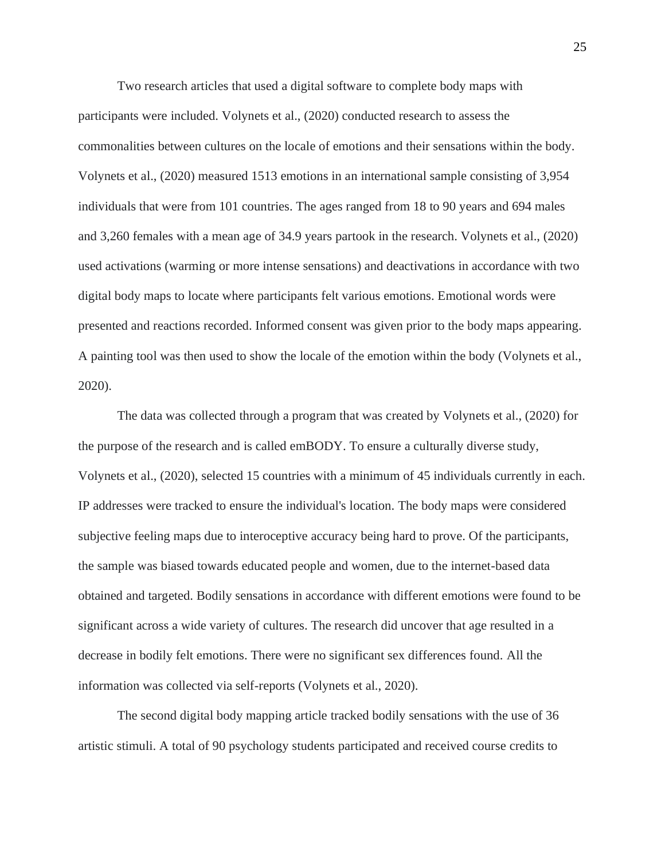Two research articles that used a digital software to complete body maps with participants were included. Volynets et al., (2020) conducted research to assess the commonalities between cultures on the locale of emotions and their sensations within the body. Volynets et al., (2020) measured 1513 emotions in an international sample consisting of 3,954 individuals that were from 101 countries. The ages ranged from 18 to 90 years and 694 males and 3,260 females with a mean age of 34.9 years partook in the research. Volynets et al., (2020) used activations (warming or more intense sensations) and deactivations in accordance with two digital body maps to locate where participants felt various emotions. Emotional words were presented and reactions recorded. Informed consent was given prior to the body maps appearing. A painting tool was then used to show the locale of the emotion within the body (Volynets et al., 2020).

The data was collected through a program that was created by Volynets et al., (2020) for the purpose of the research and is called emBODY. To ensure a culturally diverse study, Volynets et al., (2020), selected 15 countries with a minimum of 45 individuals currently in each. IP addresses were tracked to ensure the individual's location. The body maps were considered subjective feeling maps due to interoceptive accuracy being hard to prove. Of the participants, the sample was biased towards educated people and women, due to the internet-based data obtained and targeted. Bodily sensations in accordance with different emotions were found to be significant across a wide variety of cultures. The research did uncover that age resulted in a decrease in bodily felt emotions. There were no significant sex differences found. All the information was collected via self-reports (Volynets et al., 2020).

The second digital body mapping article tracked bodily sensations with the use of 36 artistic stimuli. A total of 90 psychology students participated and received course credits to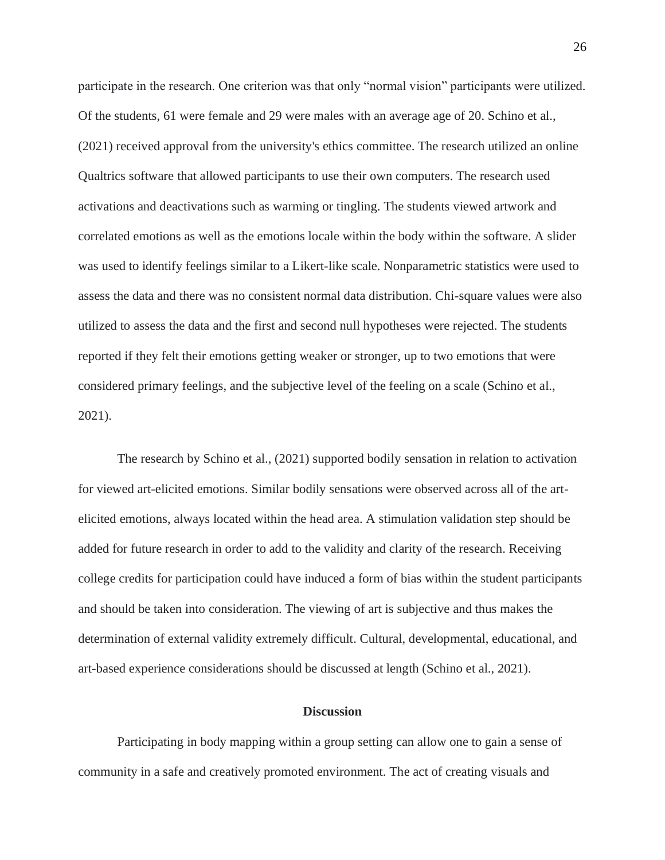participate in the research. One criterion was that only "normal vision" participants were utilized. Of the students, 61 were female and 29 were males with an average age of 20. Schino et al., (2021) received approval from the university's ethics committee. The research utilized an online Qualtrics software that allowed participants to use their own computers. The research used activations and deactivations such as warming or tingling. The students viewed artwork and correlated emotions as well as the emotions locale within the body within the software. A slider was used to identify feelings similar to a Likert-like scale. Nonparametric statistics were used to assess the data and there was no consistent normal data distribution. Chi-square values were also utilized to assess the data and the first and second null hypotheses were rejected. The students reported if they felt their emotions getting weaker or stronger, up to two emotions that were considered primary feelings, and the subjective level of the feeling on a scale (Schino et al., 2021).

The research by Schino et al., (2021) supported bodily sensation in relation to activation for viewed art-elicited emotions. Similar bodily sensations were observed across all of the artelicited emotions, always located within the head area. A stimulation validation step should be added for future research in order to add to the validity and clarity of the research. Receiving college credits for participation could have induced a form of bias within the student participants and should be taken into consideration. The viewing of art is subjective and thus makes the determination of external validity extremely difficult. Cultural, developmental, educational, and art-based experience considerations should be discussed at length (Schino et al., 2021).

#### **Discussion**

Participating in body mapping within a group setting can allow one to gain a sense of community in a safe and creatively promoted environment. The act of creating visuals and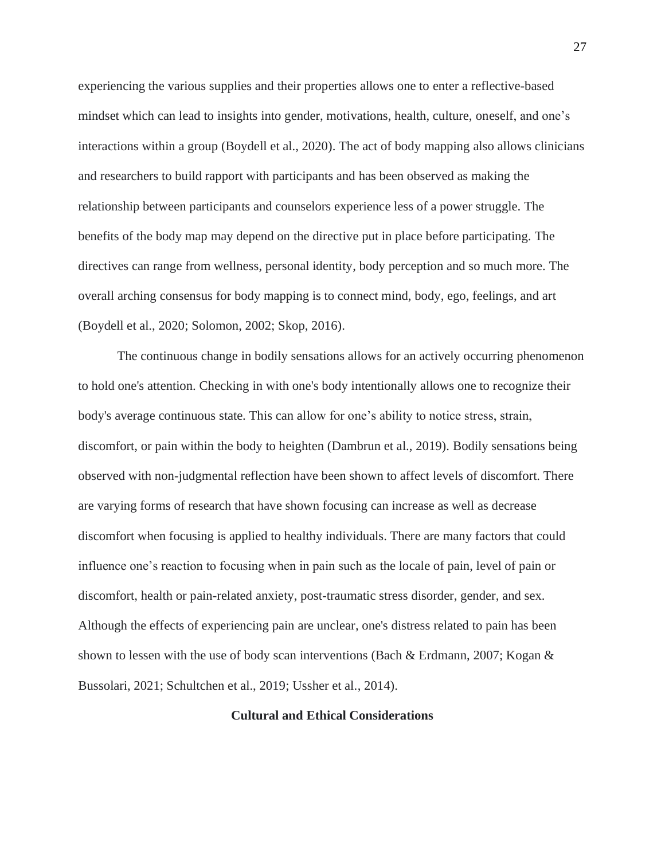experiencing the various supplies and their properties allows one to enter a reflective-based mindset which can lead to insights into gender, motivations, health, culture, oneself, and one's interactions within a group (Boydell et al., 2020). The act of body mapping also allows clinicians and researchers to build rapport with participants and has been observed as making the relationship between participants and counselors experience less of a power struggle. The benefits of the body map may depend on the directive put in place before participating. The directives can range from wellness, personal identity, body perception and so much more. The overall arching consensus for body mapping is to connect mind, body, ego, feelings, and art (Boydell et al., 2020; Solomon, 2002; Skop, 2016).

The continuous change in bodily sensations allows for an actively occurring phenomenon to hold one's attention. Checking in with one's body intentionally allows one to recognize their body's average continuous state. This can allow for one's ability to notice stress, strain, discomfort, or pain within the body to heighten (Dambrun et al., 2019). Bodily sensations being observed with non-judgmental reflection have been shown to affect levels of discomfort. There are varying forms of research that have shown focusing can increase as well as decrease discomfort when focusing is applied to healthy individuals. There are many factors that could influence one's reaction to focusing when in pain such as the locale of pain, level of pain or discomfort, health or pain-related anxiety, post-traumatic stress disorder, gender, and sex. Although the effects of experiencing pain are unclear, one's distress related to pain has been shown to lessen with the use of body scan interventions (Bach & Erdmann, 2007; Kogan & Bussolari, 2021; Schultchen et al., 2019; Ussher et al., 2014).

# **Cultural and Ethical Considerations**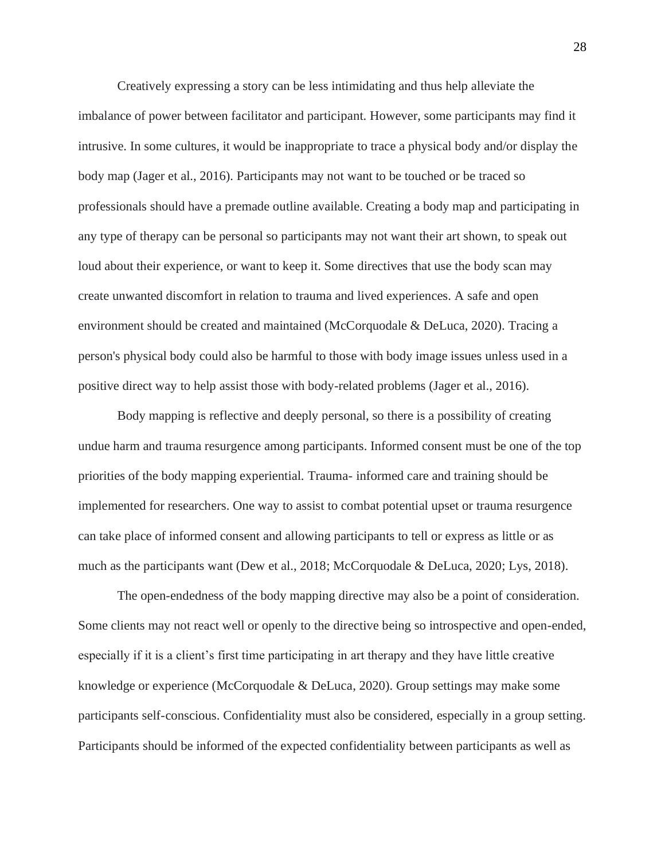Creatively expressing a story can be less intimidating and thus help alleviate the imbalance of power between facilitator and participant. However, some participants may find it intrusive. In some cultures, it would be inappropriate to trace a physical body and/or display the body map (Jager et al., 2016). Participants may not want to be touched or be traced so professionals should have a premade outline available. Creating a body map and participating in any type of therapy can be personal so participants may not want their art shown, to speak out loud about their experience, or want to keep it. Some directives that use the body scan may create unwanted discomfort in relation to trauma and lived experiences. A safe and open environment should be created and maintained (McCorquodale & DeLuca, 2020). Tracing a person's physical body could also be harmful to those with body image issues unless used in a positive direct way to help assist those with body-related problems (Jager et al., 2016).

Body mapping is reflective and deeply personal, so there is a possibility of creating undue harm and trauma resurgence among participants. Informed consent must be one of the top priorities of the body mapping experiential. Trauma- informed care and training should be implemented for researchers. One way to assist to combat potential upset or trauma resurgence can take place of informed consent and allowing participants to tell or express as little or as much as the participants want (Dew et al., 2018; McCorquodale & DeLuca, 2020; Lys, 2018).

The open-endedness of the body mapping directive may also be a point of consideration. Some clients may not react well or openly to the directive being so introspective and open-ended, especially if it is a client's first time participating in art therapy and they have little creative knowledge or experience (McCorquodale & DeLuca, 2020). Group settings may make some participants self-conscious. Confidentiality must also be considered, especially in a group setting. Participants should be informed of the expected confidentiality between participants as well as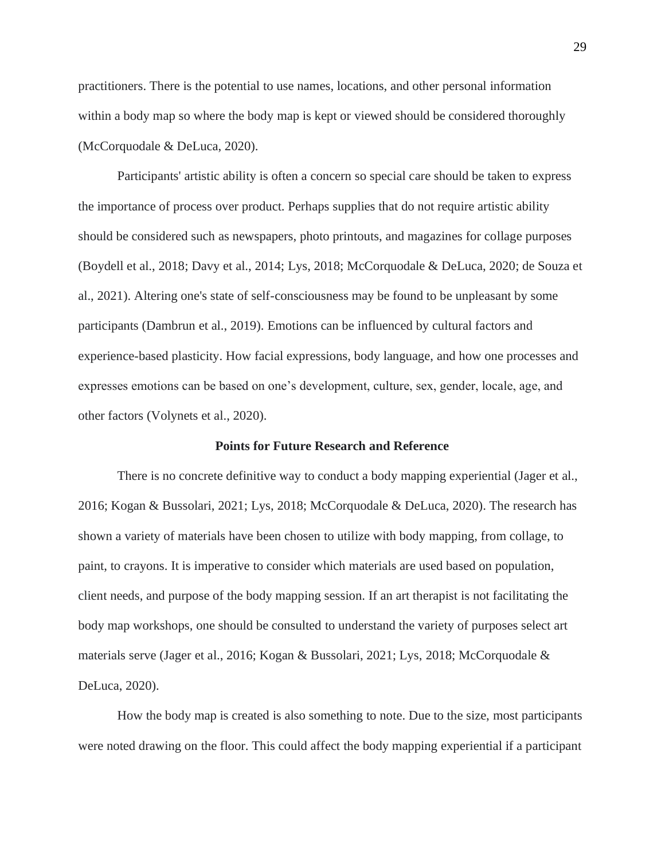practitioners. There is the potential to use names, locations, and other personal information within a body map so where the body map is kept or viewed should be considered thoroughly (McCorquodale & DeLuca, 2020).

Participants' artistic ability is often a concern so special care should be taken to express the importance of process over product. Perhaps supplies that do not require artistic ability should be considered such as newspapers, photo printouts, and magazines for collage purposes (Boydell et al., 2018; Davy et al., 2014; Lys, 2018; McCorquodale & DeLuca, 2020; de Souza et al., 2021). Altering one's state of self-consciousness may be found to be unpleasant by some participants (Dambrun et al., 2019). Emotions can be influenced by cultural factors and experience-based plasticity. How facial expressions, body language, and how one processes and expresses emotions can be based on one's development, culture, sex, gender, locale, age, and other factors (Volynets et al., 2020).

#### **Points for Future Research and Reference**

There is no concrete definitive way to conduct a body mapping experiential (Jager et al., 2016; Kogan & Bussolari, 2021; Lys, 2018; McCorquodale & DeLuca, 2020). The research has shown a variety of materials have been chosen to utilize with body mapping, from collage, to paint, to crayons. It is imperative to consider which materials are used based on population, client needs, and purpose of the body mapping session. If an art therapist is not facilitating the body map workshops, one should be consulted to understand the variety of purposes select art materials serve (Jager et al., 2016; Kogan & Bussolari, 2021; Lys, 2018; McCorquodale & DeLuca, 2020).

How the body map is created is also something to note. Due to the size, most participants were noted drawing on the floor. This could affect the body mapping experiential if a participant

29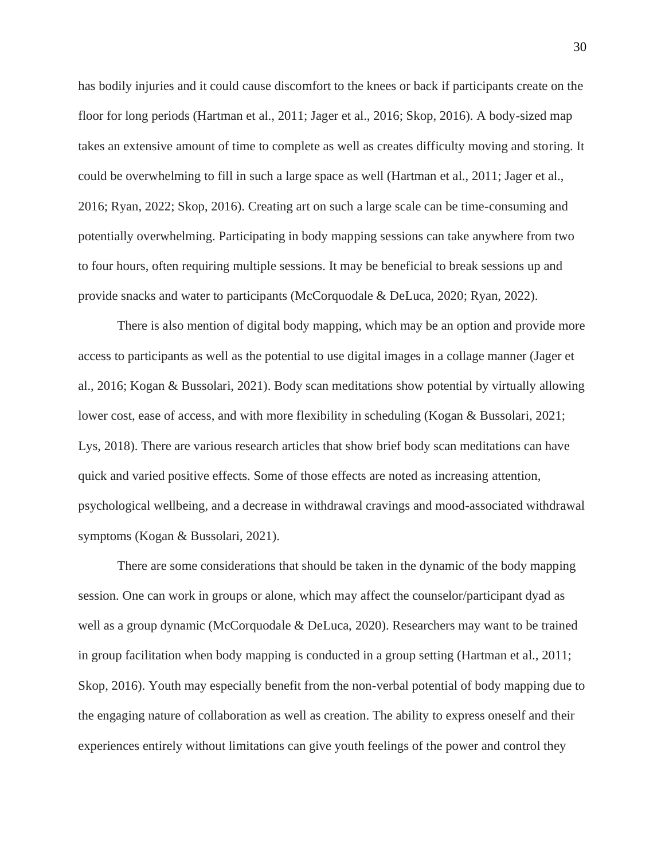has bodily injuries and it could cause discomfort to the knees or back if participants create on the floor for long periods (Hartman et al., 2011; Jager et al., 2016; Skop, 2016). A body-sized map takes an extensive amount of time to complete as well as creates difficulty moving and storing. It could be overwhelming to fill in such a large space as well (Hartman et al., 2011; Jager et al., 2016; Ryan, 2022; Skop, 2016). Creating art on such a large scale can be time-consuming and potentially overwhelming. Participating in body mapping sessions can take anywhere from two to four hours, often requiring multiple sessions. It may be beneficial to break sessions up and provide snacks and water to participants (McCorquodale & DeLuca, 2020; Ryan, 2022).

There is also mention of digital body mapping, which may be an option and provide more access to participants as well as the potential to use digital images in a collage manner (Jager et al., 2016; Kogan & Bussolari, 2021). Body scan meditations show potential by virtually allowing lower cost, ease of access, and with more flexibility in scheduling (Kogan & Bussolari, 2021; Lys, 2018). There are various research articles that show brief body scan meditations can have quick and varied positive effects. Some of those effects are noted as increasing attention, psychological wellbeing, and a decrease in withdrawal cravings and mood-associated withdrawal symptoms (Kogan & Bussolari, 2021).

There are some considerations that should be taken in the dynamic of the body mapping session. One can work in groups or alone, which may affect the counselor/participant dyad as well as a group dynamic (McCorquodale & DeLuca, 2020). Researchers may want to be trained in group facilitation when body mapping is conducted in a group setting (Hartman et al., 2011; Skop, 2016). Youth may especially benefit from the non-verbal potential of body mapping due to the engaging nature of collaboration as well as creation. The ability to express oneself and their experiences entirely without limitations can give youth feelings of the power and control they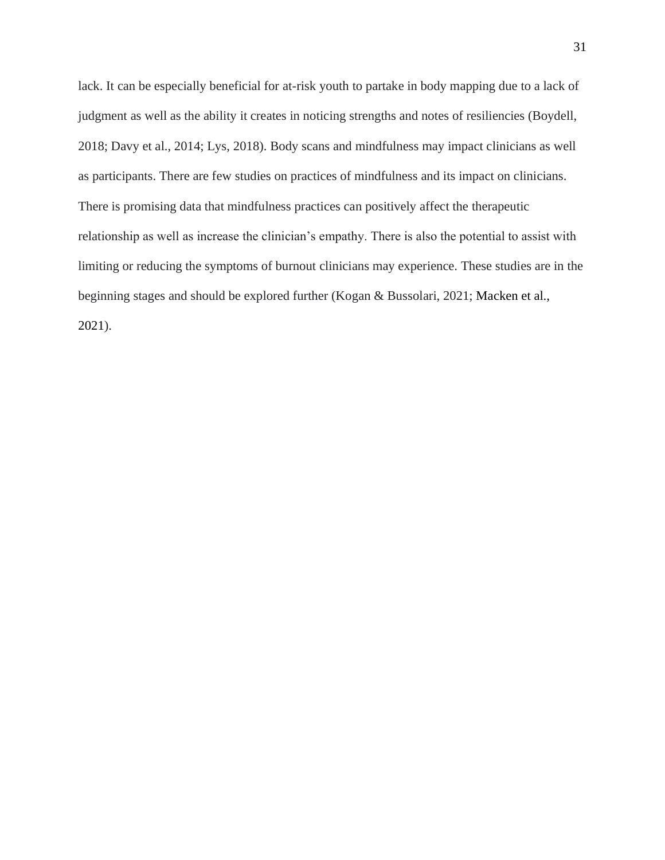lack. It can be especially beneficial for at-risk youth to partake in body mapping due to a lack of judgment as well as the ability it creates in noticing strengths and notes of resiliencies (Boydell, 2018; Davy et al., 2014; Lys, 2018). Body scans and mindfulness may impact clinicians as well as participants. There are few studies on practices of mindfulness and its impact on clinicians. There is promising data that mindfulness practices can positively affect the therapeutic relationship as well as increase the clinician's empathy. There is also the potential to assist with limiting or reducing the symptoms of burnout clinicians may experience. These studies are in the beginning stages and should be explored further (Kogan & Bussolari, 2021; Macken et al., 2021).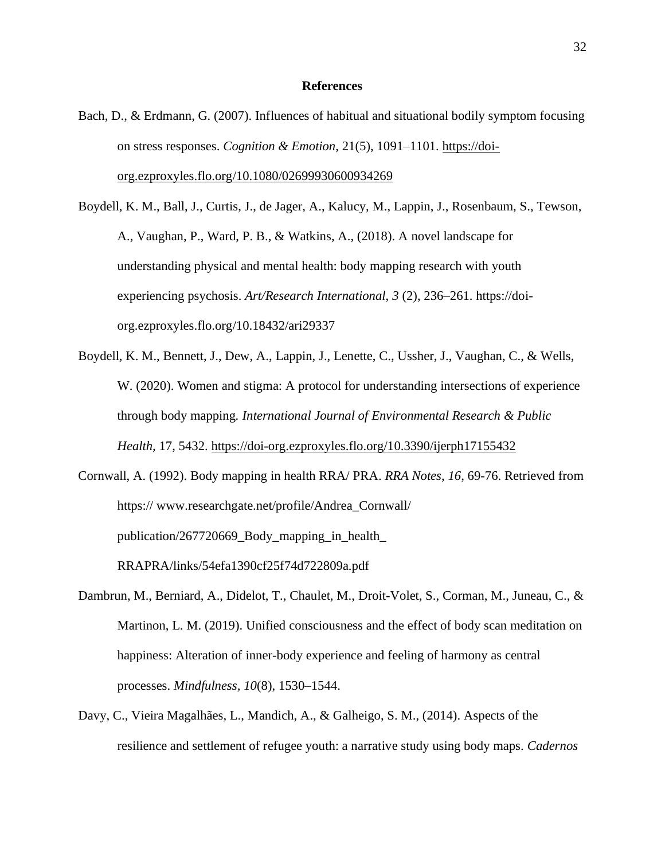### **References**

- Bach, D., & Erdmann, G. (2007). Influences of habitual and situational bodily symptom focusing on stress responses. *Cognition & Emotion*, 21(5), 1091–1101. [https://doi](https://doi-org.ezproxyles.flo.org/10.1080/02699930600934269)[org.ezproxyles.flo.org/10.1080/02699930600934269](https://doi-org.ezproxyles.flo.org/10.1080/02699930600934269)
- Boydell, K. M., Ball, J., Curtis, J., de Jager, A., Kalucy, M., Lappin, J., Rosenbaum, S., Tewson, A., Vaughan, P., Ward, P. B., & Watkins, A., (2018). A novel landscape for understanding physical and mental health: body mapping research with youth experiencing psychosis. *Art/Research International*, *3* (2), 236–261. https://doiorg.ezproxyles.flo.org/10.18432/ari29337
- Boydell, K. M., Bennett, J., Dew, A., Lappin, J., Lenette, C., Ussher, J., Vaughan, C., & Wells, W. (2020). Women and stigma: A protocol for understanding intersections of experience through body mapping*. International Journal of Environmental Research & Public Health,* 17, 5432. <https://doi-org.ezproxyles.flo.org/10.3390/ijerph17155432>
- Cornwall, A. (1992). Body mapping in health RRA/ PRA. *RRA Notes*, *16*, 69-76. Retrieved from https:// www.researchgate.net/profile/Andrea\_Cornwall/ publication/267720669\_Body\_mapping\_in\_health\_ RRAPRA/links/54efa1390cf25f74d722809a.pdf
- Dambrun, M., Berniard, A., Didelot, T., Chaulet, M., Droit-Volet, S., Corman, M., Juneau, C., & Martinon, L. M. (2019). Unified consciousness and the effect of body scan meditation on happiness: Alteration of inner-body experience and feeling of harmony as central processes. *Mindfulness, 10*(8), 1530–1544.
- Davy, C., Vieira Magalhães, L., Mandich, A., & Galheigo, S. M., (2014). Aspects of the resilience and settlement of refugee youth: a narrative study using body maps. *Cadernos*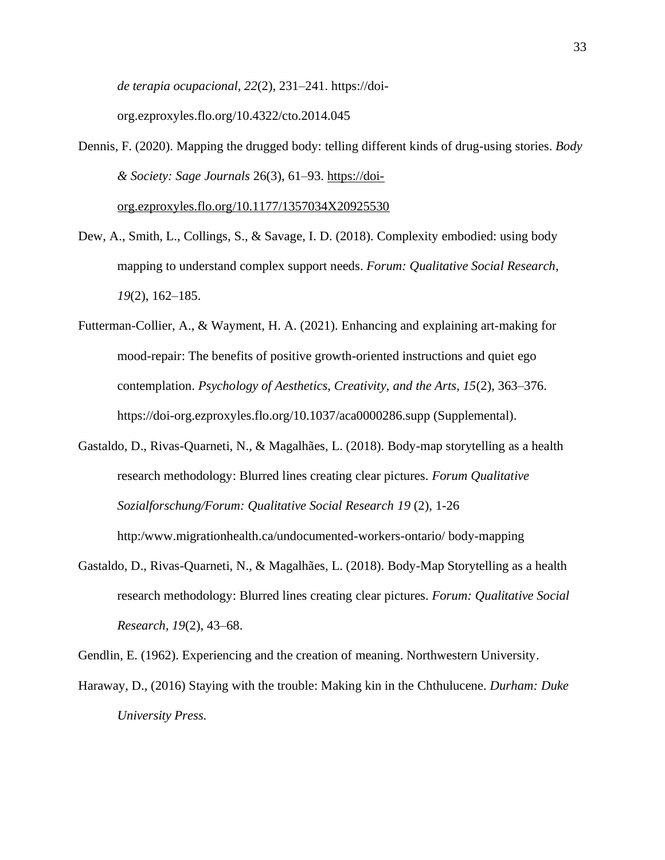*de terapia ocupacional, 22*(2), 231–241. https://doi-

org.ezproxyles.flo.org/10.4322/cto.2014.045

- Dennis, F. (2020). Mapping the drugged body: telling different kinds of drug-using stories. *Body & Society: Sage Journals* 26(3), 61–93. [https://doi](https://doi-org.ezproxyles.flo.org/10.1177/1357034X20925530)[org.ezproxyles.flo.org/10.1177/1357034X20925530](https://doi-org.ezproxyles.flo.org/10.1177/1357034X20925530)
- Dew, A., Smith, L., Collings, S., & Savage, I. D. (2018). Complexity embodied: using body mapping to understand complex support needs. *Forum: Qualitative Social Research*, *19*(2), 162–185.
- Futterman-Collier, A., & Wayment, H. A. (2021). Enhancing and explaining art-making for mood-repair: The benefits of positive growth-oriented instructions and quiet ego contemplation. *Psychology of Aesthetics, Creativity, and the Arts, 15*(2), 363–376. https://doi-org.ezproxyles.flo.org/10.1037/aca0000286.supp (Supplemental).
- Gastaldo, D., Rivas-Quarneti, N., & Magalhães, L. (2018). Body-map storytelling as a health research methodology: Blurred lines creating clear pictures. *Forum Qualitative Sozialforschung/Forum: Qualitative Social Research 19* (2), 1-26

http:/www.migrationhealth.ca/undocumented-workers-ontario/ body-mapping

Gastaldo, D., Rivas-Quarneti, N., & Magalhães, L. (2018). Body-Map Storytelling as a health research methodology: Blurred lines creating clear pictures. *Forum: Qualitative Social Research, 19*(2), 43–68.

Gendlin, E. (1962). Experiencing and the creation of meaning. Northwestern University.

Haraway, D., (2016) Staying with the trouble: Making kin in the Chthulucene. *Durham: Duke University Press.*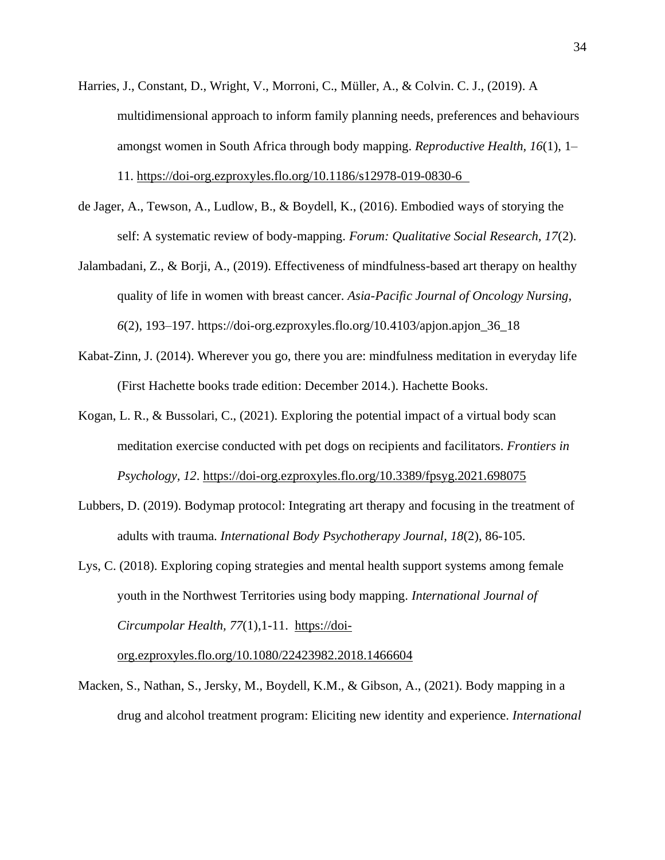- Harries, J., Constant, D., Wright, V., Morroni, C., Müller, A., & Colvin. C. J., (2019). A multidimensional approach to inform family planning needs, preferences and behaviours amongst women in South Africa through body mapping. *Reproductive Health, 16*(1), 1– 11.<https://doi-org.ezproxyles.flo.org/10.1186/s12978-019-0830-6>
- de Jager, A., Tewson, A., Ludlow, B., & Boydell, K., (2016). Embodied ways of storying the self: A systematic review of body-mapping. *Forum: Qualitative Social Research, 17*(2).
- Jalambadani, Z., & Borji, A., (2019). Effectiveness of mindfulness-based art therapy on healthy quality of life in women with breast cancer. *Asia-Pacific Journal of Oncology Nursing, 6*(2), 193–197. https://doi-org.ezproxyles.flo.org/10.4103/apjon.apjon\_36\_18
- Kabat-Zinn, J. (2014). Wherever you go, there you are: mindfulness meditation in everyday life (First Hachette books trade edition: December 2014.). Hachette Books.
- Kogan, L. R., & Bussolari, C., (2021). Exploring the potential impact of a virtual body scan meditation exercise conducted with pet dogs on recipients and facilitators. *Frontiers in Psychology, 12*.<https://doi-org.ezproxyles.flo.org/10.3389/fpsyg.2021.698075>
- Lubbers, D. (2019). Bodymap protocol: Integrating art therapy and focusing in the treatment of adults with trauma. *International Body Psychotherapy Journal*, *18*(2), 86-105.
- Lys, C. (2018). Exploring coping strategies and mental health support systems among female youth in the Northwest Territories using body mapping. *International Journal of Circumpolar Health, 77*(1),1-11. [https://doi-](https://doi-org.ezproxyles.flo.org/10.1080/22423982.2018.1466604)

[org.ezproxyles.flo.org/10.1080/22423982.2018.1466604](https://doi-org.ezproxyles.flo.org/10.1080/22423982.2018.1466604)

Macken, S., Nathan, S., Jersky, M., Boydell, K.M., & Gibson, A., (2021). Body mapping in a drug and alcohol treatment program: Eliciting new identity and experience. *International*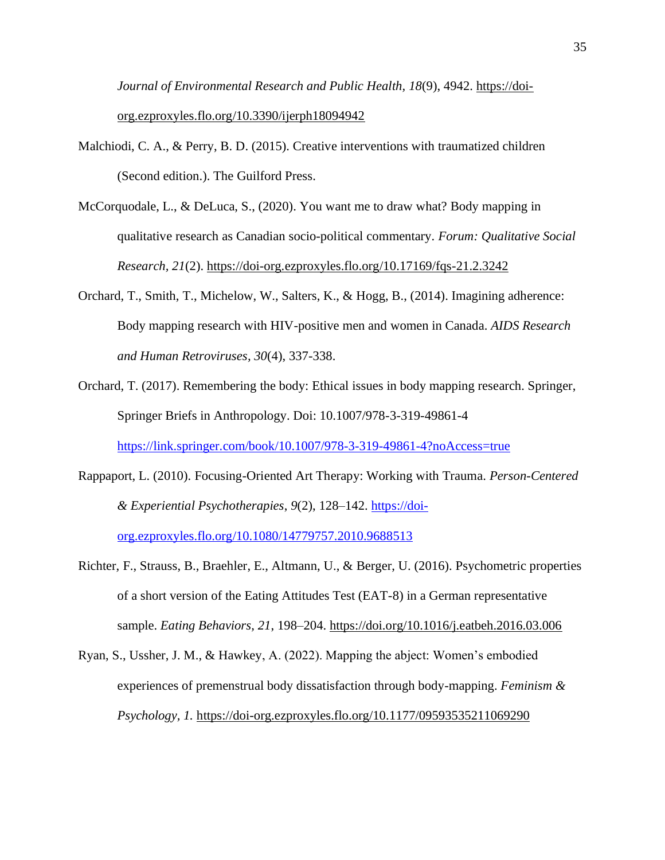*Journal of Environmental Research and Public Health, 18*(9), 4942. [https://doi](https://doi-org.ezproxyles.flo.org/10.3390/ijerph18094942)[org.ezproxyles.flo.org/10.3390/ijerph18094942](https://doi-org.ezproxyles.flo.org/10.3390/ijerph18094942)

- Malchiodi, C. A., & Perry, B. D. (2015). Creative interventions with traumatized children (Second edition.). The Guilford Press.
- McCorquodale, L., & DeLuca, S., (2020). You want me to draw what? Body mapping in qualitative research as Canadian socio-political commentary. *Forum: Qualitative Social Research, 21*(2).<https://doi-org.ezproxyles.flo.org/10.17169/fqs-21.2.3242>
- Orchard, T., Smith, T., Michelow, W., Salters, K., & Hogg, B., (2014). Imagining adherence: Body mapping research with HIV-positive men and women in Canada. *AIDS Research and Human Retroviruses, 30*(4), 337-338.
- Orchard, T. (2017). Remembering the body: Ethical issues in body mapping research. Springer, Springer Briefs in Anthropology. Doi: 10.1007/978-3-319-49861-4 <https://link.springer.com/book/10.1007/978-3-319-49861-4?noAccess=true>
- Rappaport, L. (2010). Focusing-Oriented Art Therapy: Working with Trauma. *Person-Centered & Experiential Psychotherapies*, *9*(2), 128–142. [https://doi-](https://doi-org.ezproxyles.flo.org/10.1080/14779757.2010.9688513)

[org.ezproxyles.flo.org/10.1080/14779757.2010.9688513](https://doi-org.ezproxyles.flo.org/10.1080/14779757.2010.9688513)

- Richter, F., Strauss, B., Braehler, E., Altmann, U., & Berger, U. (2016). Psychometric properties of a short version of the Eating Attitudes Test (EAT-8) in a German representative sample. *Eating Behaviors, 21*, 198–204.<https://doi.org/10.1016/j.eatbeh.2016.03.006>
- Ryan, S., Ussher, J. M., & Hawkey, A. (2022). Mapping the abject: Women's embodied experiences of premenstrual body dissatisfaction through body-mapping. *Feminism & Psychology, 1.* <https://doi-org.ezproxyles.flo.org/10.1177/09593535211069290>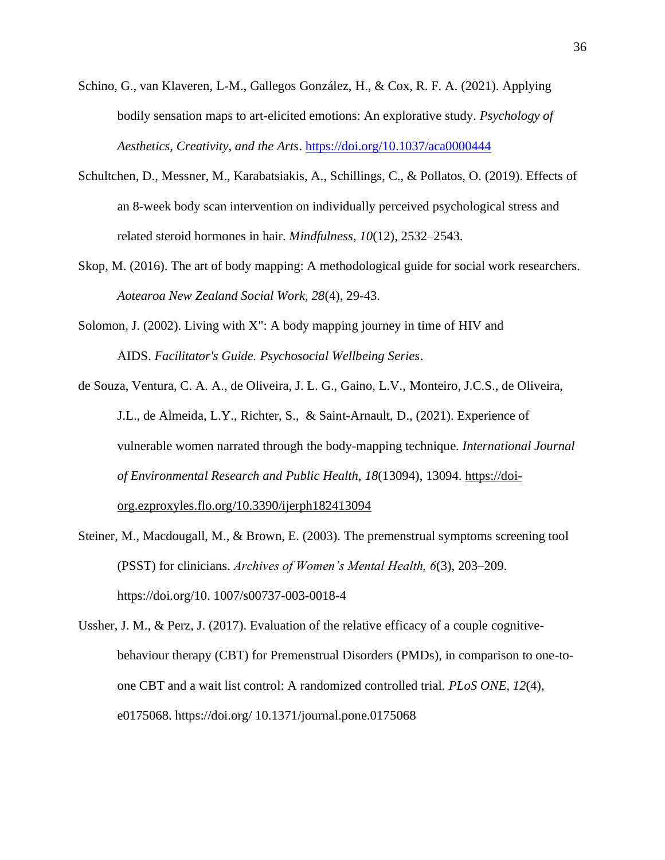- Schino, G., van Klaveren, L-M., Gallegos González, H., & Cox, R. F. A. (2021). Applying bodily sensation maps to art-elicited emotions: An explorative study. *Psychology of Aesthetics, Creativity, and the Arts*. <https://doi.org/10.1037/aca0000444>
- Schultchen, D., Messner, M., Karabatsiakis, A., Schillings, C., & Pollatos, O. (2019). Effects of an 8-week body scan intervention on individually perceived psychological stress and related steroid hormones in hair. *Mindfulness, 10*(12), 2532–2543.
- Skop, M. (2016). The art of body mapping: A methodological guide for social work researchers. *Aotearoa New Zealand Social Work, 28*(4), 29-43.
- Solomon, J. (2002). Living with  $X''$ : A body mapping journey in time of HIV and AIDS. *Facilitator's Guide. Psychosocial Wellbeing Series*.
- de Souza, Ventura, C. A. A., de Oliveira, J. L. G., Gaino, L.V., Monteiro, J.C.S., de Oliveira, J.L., de Almeida, L.Y., Richter, S., & Saint-Arnault, D., (2021). Experience of vulnerable women narrated through the body-mapping technique. *International Journal of Environmental Research and Public Health, 18*(13094), 13094. [https://doi](https://doi-org.ezproxyles.flo.org/10.3390/ijerph182413094)[org.ezproxyles.flo.org/10.3390/ijerph182413094](https://doi-org.ezproxyles.flo.org/10.3390/ijerph182413094)
- Steiner, M., Macdougall, M., & Brown, E. (2003). The premenstrual symptoms screening tool (PSST) for clinicians. *Archives of Women's Mental Health, 6*(3), 203–209. https://doi.org/10. 1007/s00737-003-0018-4
- Ussher, J. M., & Perz, J. (2017). Evaluation of the relative efficacy of a couple cognitivebehaviour therapy (CBT) for Premenstrual Disorders (PMDs), in comparison to one-toone CBT and a wait list control: A randomized controlled trial. *PLoS ONE, 12*(4), e0175068. https://doi.org/ 10.1371/journal.pone.0175068